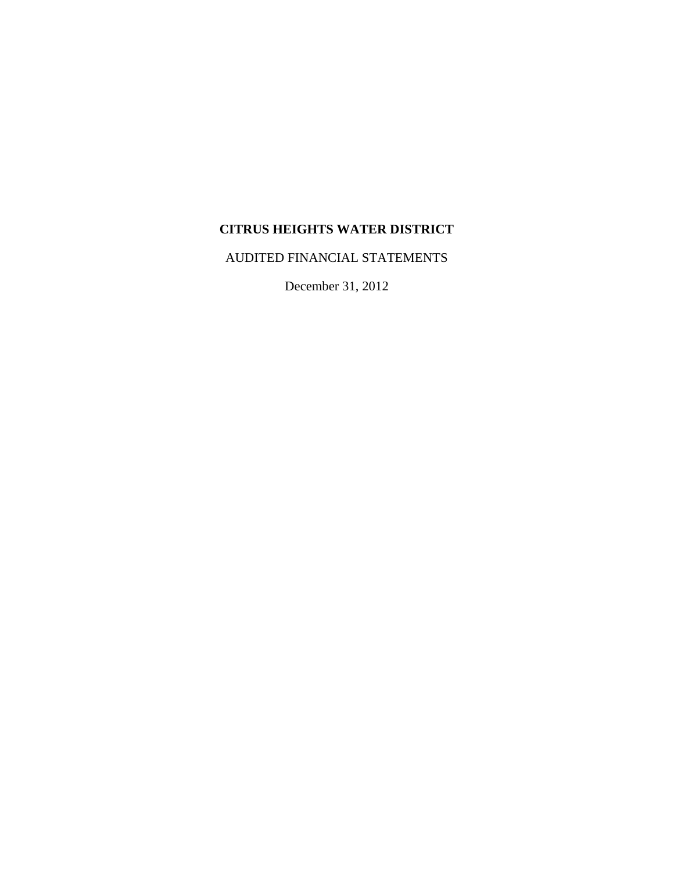AUDITED FINANCIAL STATEMENTS

December 31, 2012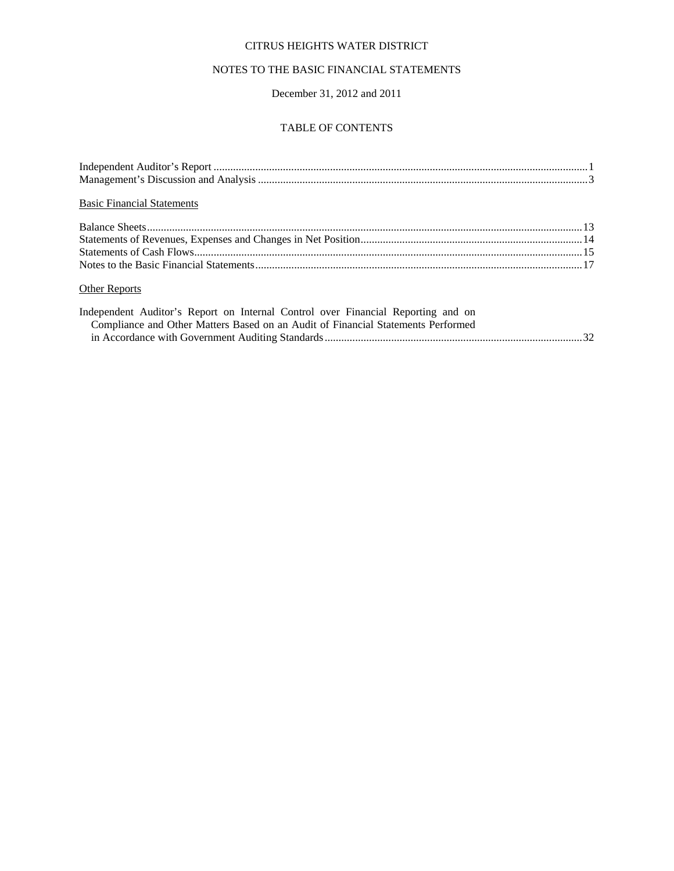### NOTES TO THE BASIC FINANCIAL STATEMENTS

## December 31, 2012 and 2011

### TABLE OF CONTENTS

| <b>Basic Financial Statements</b> |  |
|-----------------------------------|--|
|                                   |  |
|                                   |  |
|                                   |  |
|                                   |  |
| <b>Other Reports</b>              |  |

| Independent Auditor's Report on Internal Control over Financial Reporting and on |  |
|----------------------------------------------------------------------------------|--|
| Compliance and Other Matters Based on an Audit of Financial Statements Performed |  |
|                                                                                  |  |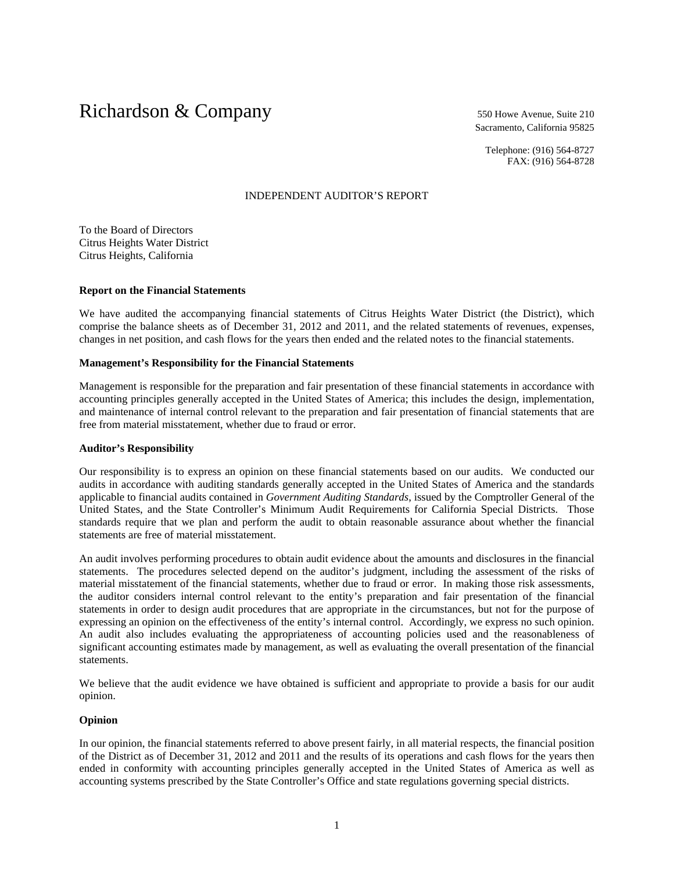# Richardson & Company 550 Howe Avenue, Suite 210

Sacramento, California 95825

Telephone: (916) 564-8727 FAX: (916) 564-8728

#### INDEPENDENT AUDITOR'S REPORT

To the Board of Directors Citrus Heights Water District Citrus Heights, California

#### **Report on the Financial Statements**

We have audited the accompanying financial statements of Citrus Heights Water District (the District), which comprise the balance sheets as of December 31, 2012 and 2011, and the related statements of revenues, expenses, changes in net position, and cash flows for the years then ended and the related notes to the financial statements.

#### **Management's Responsibility for the Financial Statements**

Management is responsible for the preparation and fair presentation of these financial statements in accordance with accounting principles generally accepted in the United States of America; this includes the design, implementation, and maintenance of internal control relevant to the preparation and fair presentation of financial statements that are free from material misstatement, whether due to fraud or error.

#### **Auditor's Responsibility**

Our responsibility is to express an opinion on these financial statements based on our audits. We conducted our audits in accordance with auditing standards generally accepted in the United States of America and the standards applicable to financial audits contained in *Government Auditing Standards*, issued by the Comptroller General of the United States, and the State Controller's Minimum Audit Requirements for California Special Districts. Those standards require that we plan and perform the audit to obtain reasonable assurance about whether the financial statements are free of material misstatement.

An audit involves performing procedures to obtain audit evidence about the amounts and disclosures in the financial statements. The procedures selected depend on the auditor's judgment, including the assessment of the risks of material misstatement of the financial statements, whether due to fraud or error. In making those risk assessments, the auditor considers internal control relevant to the entity's preparation and fair presentation of the financial statements in order to design audit procedures that are appropriate in the circumstances, but not for the purpose of expressing an opinion on the effectiveness of the entity's internal control. Accordingly, we express no such opinion. An audit also includes evaluating the appropriateness of accounting policies used and the reasonableness of significant accounting estimates made by management, as well as evaluating the overall presentation of the financial statements.

We believe that the audit evidence we have obtained is sufficient and appropriate to provide a basis for our audit opinion.

#### **Opinion**

In our opinion, the financial statements referred to above present fairly, in all material respects, the financial position of the District as of December 31, 2012 and 2011 and the results of its operations and cash flows for the years then ended in conformity with accounting principles generally accepted in the United States of America as well as accounting systems prescribed by the State Controller's Office and state regulations governing special districts.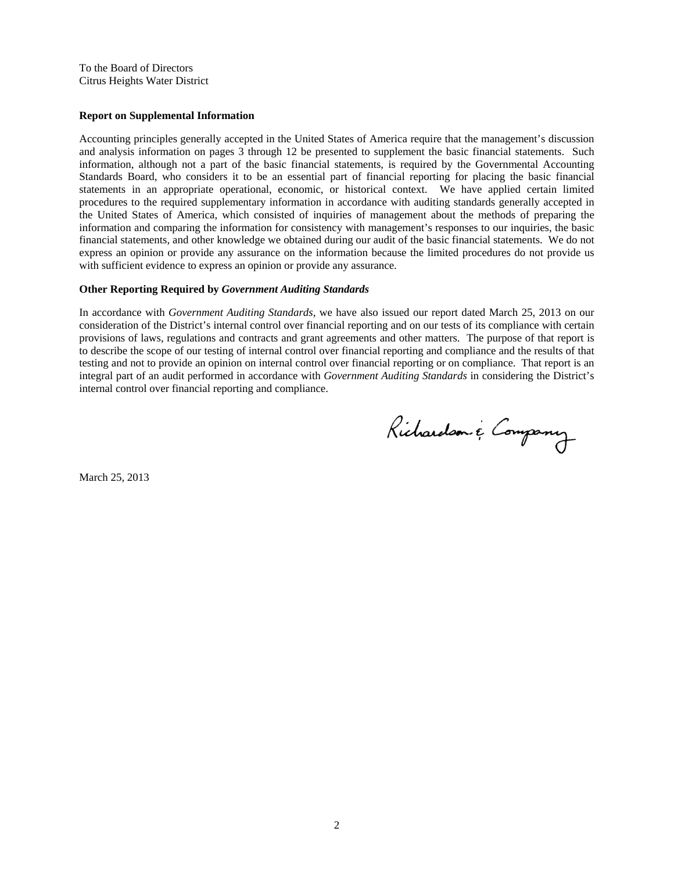To the Board of Directors Citrus Heights Water District

#### **Report on Supplemental Information**

Accounting principles generally accepted in the United States of America require that the management's discussion and analysis information on pages 3 through 12 be presented to supplement the basic financial statements. Such information, although not a part of the basic financial statements, is required by the Governmental Accounting Standards Board, who considers it to be an essential part of financial reporting for placing the basic financial statements in an appropriate operational, economic, or historical context. We have applied certain limited procedures to the required supplementary information in accordance with auditing standards generally accepted in the United States of America, which consisted of inquiries of management about the methods of preparing the information and comparing the information for consistency with management's responses to our inquiries, the basic financial statements, and other knowledge we obtained during our audit of the basic financial statements. We do not express an opinion or provide any assurance on the information because the limited procedures do not provide us with sufficient evidence to express an opinion or provide any assurance.

#### **Other Reporting Required by** *Government Auditing Standards*

In accordance with *Government Auditing Standards*, we have also issued our report dated March 25, 2013 on our consideration of the District's internal control over financial reporting and on our tests of its compliance with certain provisions of laws, regulations and contracts and grant agreements and other matters. The purpose of that report is to describe the scope of our testing of internal control over financial reporting and compliance and the results of that testing and not to provide an opinion on internal control over financial reporting or on compliance. That report is an integral part of an audit performed in accordance with *Government Auditing Standards* in considering the District's internal control over financial reporting and compliance.

Richardson & Company

March 25, 2013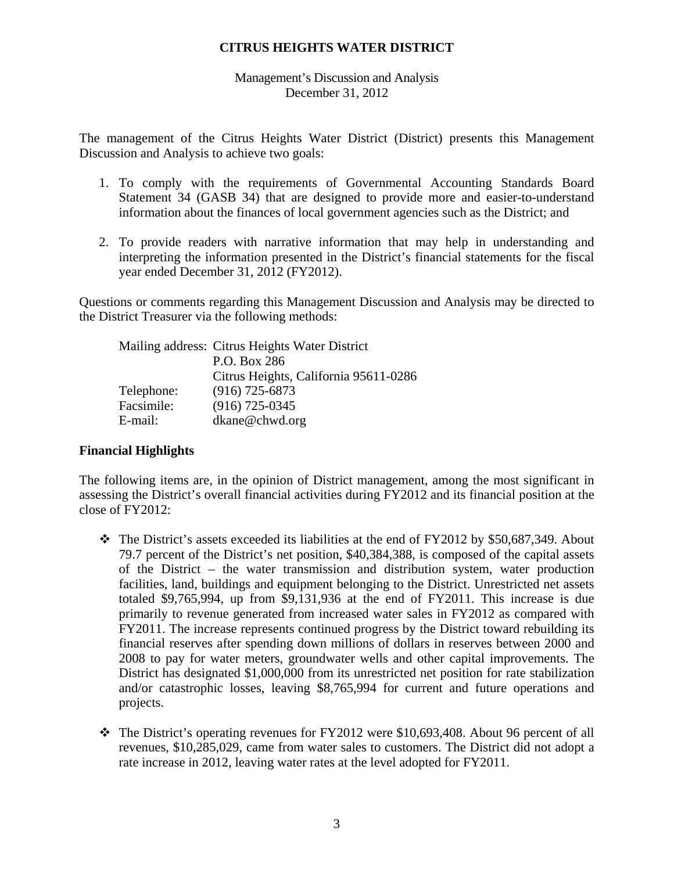### Management's Discussion and Analysis December 31, 2012

The management of the Citrus Heights Water District (District) presents this Management Discussion and Analysis to achieve two goals:

- 1. To comply with the requirements of Governmental Accounting Standards Board Statement 34 (GASB 34) that are designed to provide more and easier-to-understand information about the finances of local government agencies such as the District; and
- 2. To provide readers with narrative information that may help in understanding and interpreting the information presented in the District's financial statements for the fiscal year ended December 31, 2012 (FY2012).

Questions or comments regarding this Management Discussion and Analysis may be directed to the District Treasurer via the following methods:

|            | Mailing address: Citrus Heights Water District |
|------------|------------------------------------------------|
|            | P.O. Box 286                                   |
|            | Citrus Heights, California 95611-0286          |
| Telephone: | $(916)$ 725-6873                               |
| Facsimile: | $(916)$ 725-0345                               |
| E-mail:    | dkane@chwd.org                                 |

### **Financial Highlights**

The following items are, in the opinion of District management, among the most significant in assessing the District's overall financial activities during FY2012 and its financial position at the close of FY2012:

- $\div$  The District's assets exceeded its liabilities at the end of FY2012 by \$50,687,349. About 79.7 percent of the District's net position, \$40,384,388, is composed of the capital assets of the District – the water transmission and distribution system, water production facilities, land, buildings and equipment belonging to the District. Unrestricted net assets totaled \$9,765,994, up from \$9,131,936 at the end of FY2011. This increase is due primarily to revenue generated from increased water sales in FY2012 as compared with FY2011. The increase represents continued progress by the District toward rebuilding its financial reserves after spending down millions of dollars in reserves between 2000 and 2008 to pay for water meters, groundwater wells and other capital improvements. The District has designated \$1,000,000 from its unrestricted net position for rate stabilization and/or catastrophic losses, leaving \$8,765,994 for current and future operations and projects.
- \* The District's operating revenues for FY2012 were \$10,693,408. About 96 percent of all revenues, \$10,285,029, came from water sales to customers. The District did not adopt a rate increase in 2012, leaving water rates at the level adopted for FY2011.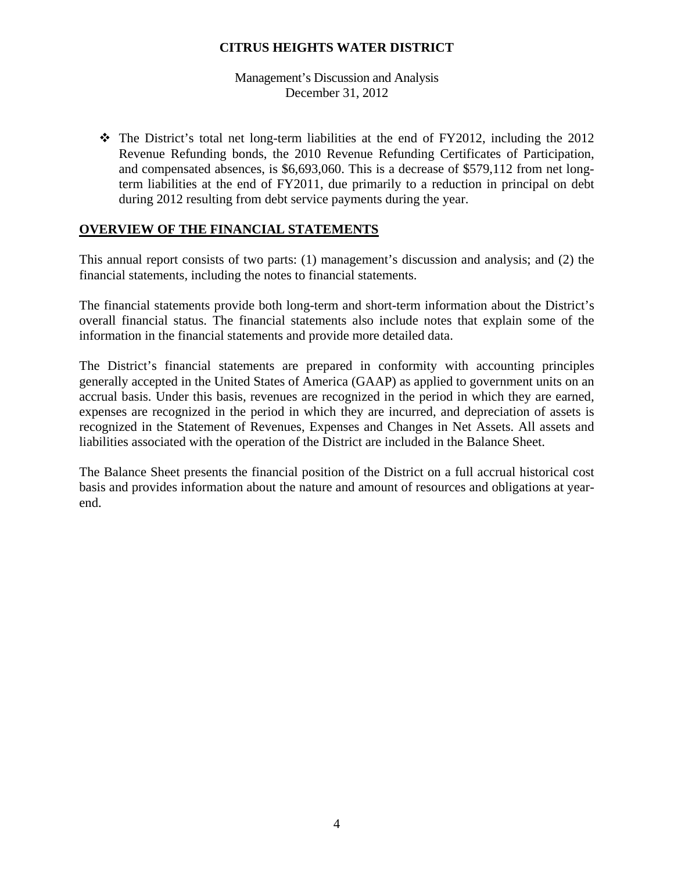Management's Discussion and Analysis December 31, 2012

 The District's total net long-term liabilities at the end of FY2012, including the 2012 Revenue Refunding bonds, the 2010 Revenue Refunding Certificates of Participation, and compensated absences, is \$6,693,060. This is a decrease of \$579,112 from net longterm liabilities at the end of FY2011, due primarily to a reduction in principal on debt during 2012 resulting from debt service payments during the year.

## **OVERVIEW OF THE FINANCIAL STATEMENTS**

This annual report consists of two parts: (1) management's discussion and analysis; and (2) the financial statements, including the notes to financial statements.

The financial statements provide both long-term and short-term information about the District's overall financial status. The financial statements also include notes that explain some of the information in the financial statements and provide more detailed data.

The District's financial statements are prepared in conformity with accounting principles generally accepted in the United States of America (GAAP) as applied to government units on an accrual basis. Under this basis, revenues are recognized in the period in which they are earned, expenses are recognized in the period in which they are incurred, and depreciation of assets is recognized in the Statement of Revenues, Expenses and Changes in Net Assets. All assets and liabilities associated with the operation of the District are included in the Balance Sheet.

The Balance Sheet presents the financial position of the District on a full accrual historical cost basis and provides information about the nature and amount of resources and obligations at yearend.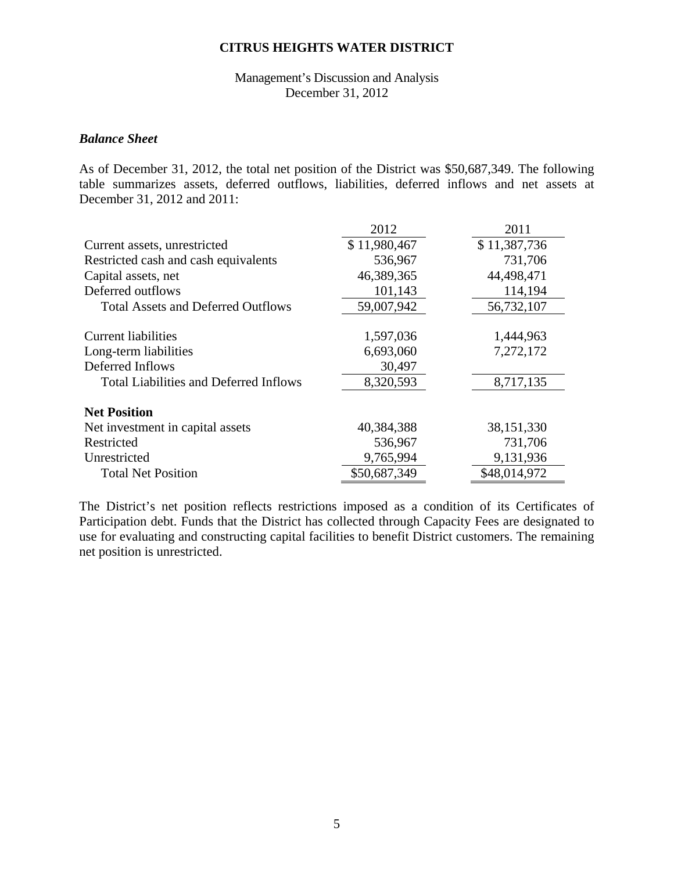### Management's Discussion and Analysis December 31, 2012

### *Balance Sheet*

As of December 31, 2012, the total net position of the District was \$50,687,349. The following table summarizes assets, deferred outflows, liabilities, deferred inflows and net assets at December 31, 2012 and 2011:

|                                           | 2012         | 2011         |
|-------------------------------------------|--------------|--------------|
| Current assets, unrestricted              | \$11,980,467 | \$11,387,736 |
| Restricted cash and cash equivalents      | 536,967      | 731,706      |
| Capital assets, net                       | 46,389,365   | 44,498,471   |
| Deferred outflows                         | 101,143      | 114,194      |
| <b>Total Assets and Deferred Outflows</b> | 59,007,942   | 56,732,107   |
|                                           |              |              |
| <b>Current liabilities</b>                | 1,597,036    | 1,444,963    |
| Long-term liabilities                     | 6,693,060    | 7,272,172    |
| Deferred Inflows                          | 30,497       |              |
| Total Liabilities and Deferred Inflows    | 8,320,593    | 8,717,135    |
| <b>Net Position</b>                       |              |              |
| Net investment in capital assets          | 40,384,388   | 38,151,330   |
| Restricted                                | 536,967      | 731,706      |
| Unrestricted                              | 9,765,994    | 9,131,936    |
| <b>Total Net Position</b>                 | \$50,687,349 | \$48,014,972 |

The District's net position reflects restrictions imposed as a condition of its Certificates of Participation debt. Funds that the District has collected through Capacity Fees are designated to use for evaluating and constructing capital facilities to benefit District customers. The remaining net position is unrestricted.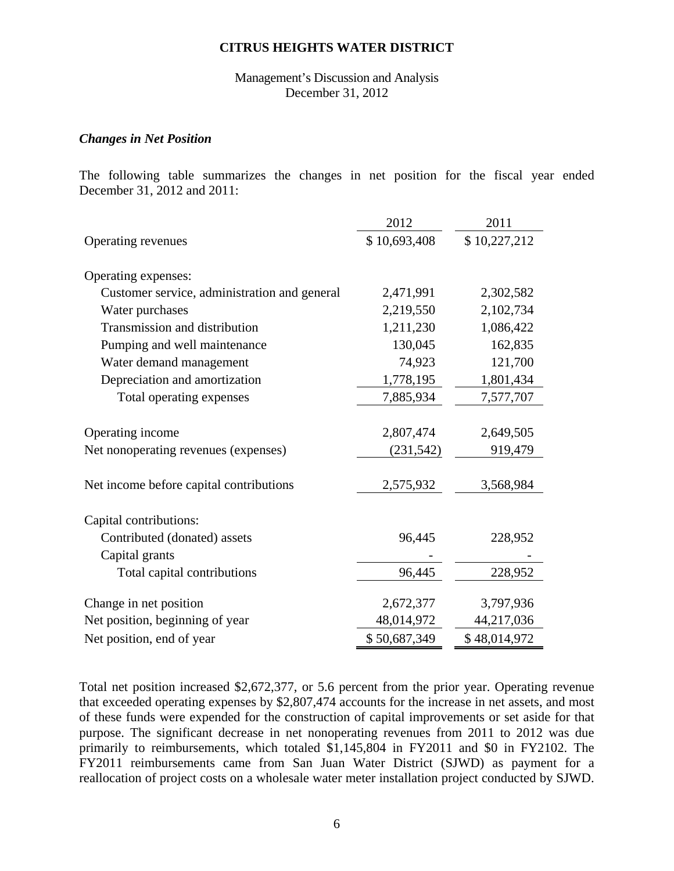Management's Discussion and Analysis December 31, 2012

### *Changes in Net Position*

The following table summarizes the changes in net position for the fiscal year ended December 31, 2012 and 2011:

|                                                           | 2012                    | 2011                    |
|-----------------------------------------------------------|-------------------------|-------------------------|
| Operating revenues                                        | \$10,693,408            | \$10,227,212            |
| Operating expenses:                                       |                         |                         |
| Customer service, administration and general              | 2,471,991               | 2,302,582               |
| Water purchases                                           | 2,219,550               | 2,102,734               |
| Transmission and distribution                             | 1,211,230               | 1,086,422               |
| Pumping and well maintenance                              | 130,045                 | 162,835                 |
| Water demand management                                   | 74,923                  | 121,700                 |
| Depreciation and amortization                             | 1,778,195               | 1,801,434               |
| Total operating expenses                                  | 7,885,934               | 7,577,707               |
|                                                           |                         |                         |
| Operating income                                          | 2,807,474               | 2,649,505               |
| Net nonoperating revenues (expenses)                      | (231, 542)              | 919,479                 |
| Net income before capital contributions                   | 2,575,932               | 3,568,984               |
| Capital contributions:                                    |                         |                         |
| Contributed (donated) assets                              | 96,445                  | 228,952                 |
| Capital grants                                            |                         |                         |
| Total capital contributions                               | 96,445                  | 228,952                 |
| Change in net position<br>Net position, beginning of year | 2,672,377<br>48,014,972 | 3,797,936<br>44,217,036 |
| Net position, end of year                                 | \$50,687,349            | \$48,014,972            |
|                                                           |                         |                         |

Total net position increased \$2,672,377, or 5.6 percent from the prior year. Operating revenue that exceeded operating expenses by \$2,807,474 accounts for the increase in net assets, and most of these funds were expended for the construction of capital improvements or set aside for that purpose. The significant decrease in net nonoperating revenues from 2011 to 2012 was due primarily to reimbursements, which totaled \$1,145,804 in FY2011 and \$0 in FY2102. The FY2011 reimbursements came from San Juan Water District (SJWD) as payment for a reallocation of project costs on a wholesale water meter installation project conducted by SJWD.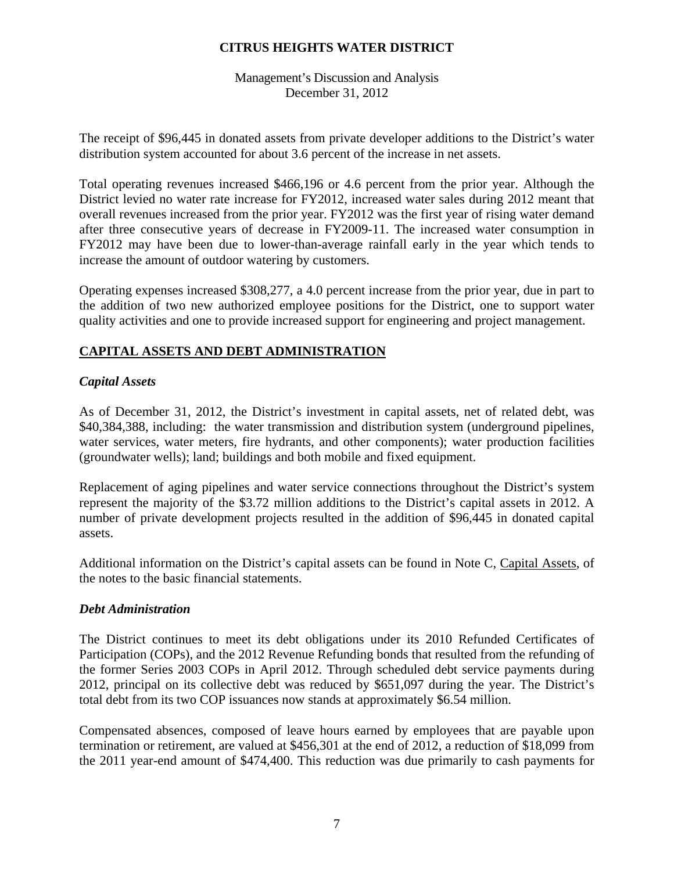Management's Discussion and Analysis December 31, 2012

The receipt of \$96,445 in donated assets from private developer additions to the District's water distribution system accounted for about 3.6 percent of the increase in net assets.

Total operating revenues increased \$466,196 or 4.6 percent from the prior year. Although the District levied no water rate increase for FY2012, increased water sales during 2012 meant that overall revenues increased from the prior year. FY2012 was the first year of rising water demand after three consecutive years of decrease in FY2009-11. The increased water consumption in FY2012 may have been due to lower-than-average rainfall early in the year which tends to increase the amount of outdoor watering by customers.

Operating expenses increased \$308,277, a 4.0 percent increase from the prior year, due in part to the addition of two new authorized employee positions for the District, one to support water quality activities and one to provide increased support for engineering and project management.

## **CAPITAL ASSETS AND DEBT ADMINISTRATION**

## *Capital Assets*

As of December 31, 2012, the District's investment in capital assets, net of related debt, was \$40,384,388, including: the water transmission and distribution system (underground pipelines, water services, water meters, fire hydrants, and other components); water production facilities (groundwater wells); land; buildings and both mobile and fixed equipment.

Replacement of aging pipelines and water service connections throughout the District's system represent the majority of the \$3.72 million additions to the District's capital assets in 2012. A number of private development projects resulted in the addition of \$96,445 in donated capital assets.

Additional information on the District's capital assets can be found in Note C, Capital Assets, of the notes to the basic financial statements.

### *Debt Administration*

The District continues to meet its debt obligations under its 2010 Refunded Certificates of Participation (COPs), and the 2012 Revenue Refunding bonds that resulted from the refunding of the former Series 2003 COPs in April 2012. Through scheduled debt service payments during 2012, principal on its collective debt was reduced by \$651,097 during the year. The District's total debt from its two COP issuances now stands at approximately \$6.54 million.

Compensated absences, composed of leave hours earned by employees that are payable upon termination or retirement, are valued at \$456,301 at the end of 2012, a reduction of \$18,099 from the 2011 year-end amount of \$474,400. This reduction was due primarily to cash payments for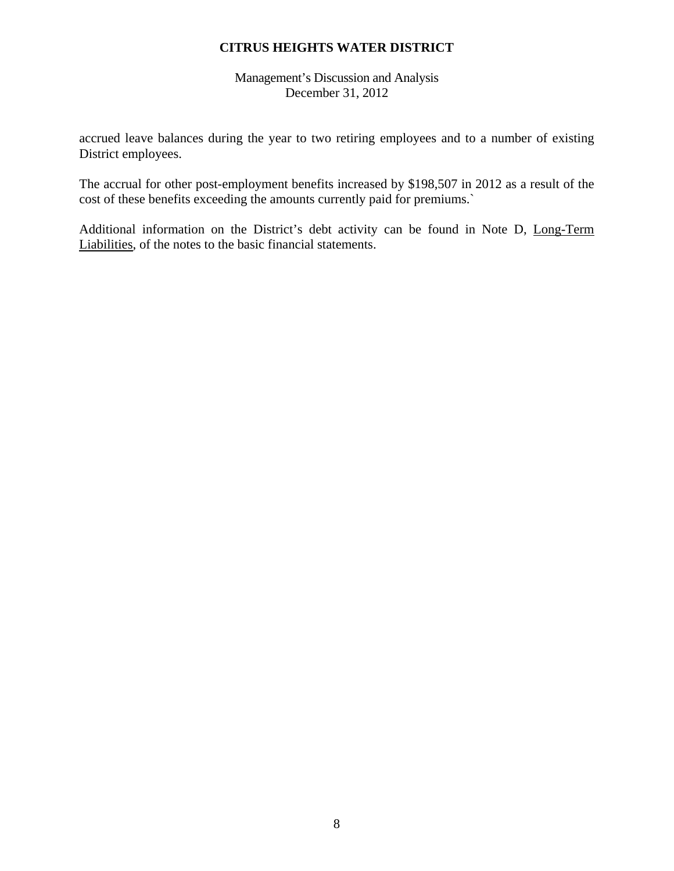Management's Discussion and Analysis December 31, 2012

accrued leave balances during the year to two retiring employees and to a number of existing District employees.

The accrual for other post-employment benefits increased by \$198,507 in 2012 as a result of the cost of these benefits exceeding the amounts currently paid for premiums.`

Additional information on the District's debt activity can be found in Note D, Long-Term Liabilities, of the notes to the basic financial statements.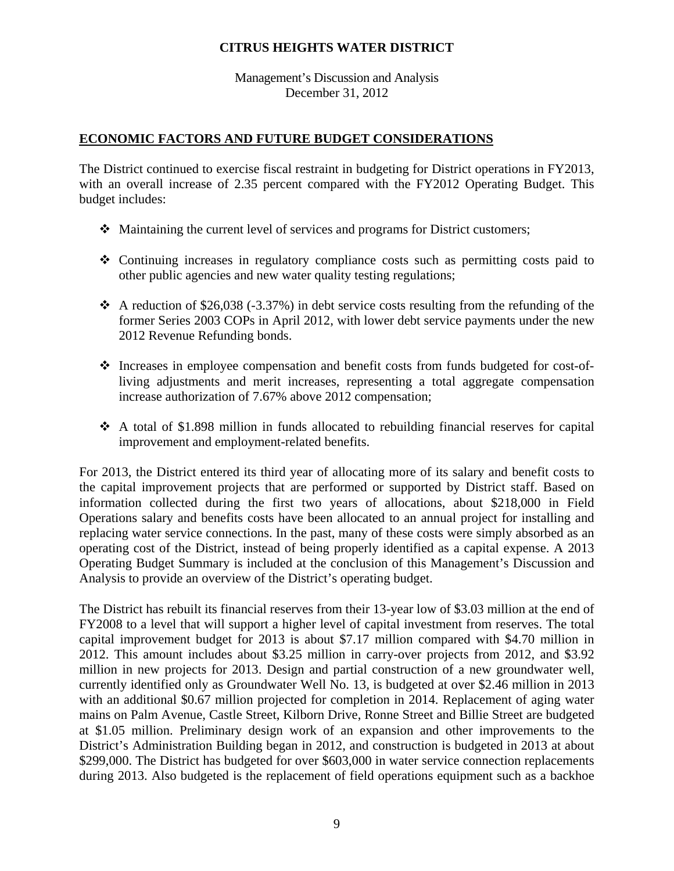Management's Discussion and Analysis December 31, 2012

## **ECONOMIC FACTORS AND FUTURE BUDGET CONSIDERATIONS**

The District continued to exercise fiscal restraint in budgeting for District operations in FY2013, with an overall increase of 2.35 percent compared with the FY2012 Operating Budget. This budget includes:

- Maintaining the current level of services and programs for District customers;
- Continuing increases in regulatory compliance costs such as permitting costs paid to other public agencies and new water quality testing regulations;
- A reduction of \$26,038 (-3.37%) in debt service costs resulting from the refunding of the former Series 2003 COPs in April 2012, with lower debt service payments under the new 2012 Revenue Refunding bonds.
- Increases in employee compensation and benefit costs from funds budgeted for cost-ofliving adjustments and merit increases, representing a total aggregate compensation increase authorization of 7.67% above 2012 compensation;
- $\div$  A total of \$1.898 million in funds allocated to rebuilding financial reserves for capital improvement and employment-related benefits.

For 2013, the District entered its third year of allocating more of its salary and benefit costs to the capital improvement projects that are performed or supported by District staff. Based on information collected during the first two years of allocations, about \$218,000 in Field Operations salary and benefits costs have been allocated to an annual project for installing and replacing water service connections. In the past, many of these costs were simply absorbed as an operating cost of the District, instead of being properly identified as a capital expense. A 2013 Operating Budget Summary is included at the conclusion of this Management's Discussion and Analysis to provide an overview of the District's operating budget.

The District has rebuilt its financial reserves from their 13-year low of \$3.03 million at the end of FY2008 to a level that will support a higher level of capital investment from reserves. The total capital improvement budget for 2013 is about \$7.17 million compared with \$4.70 million in 2012. This amount includes about \$3.25 million in carry-over projects from 2012, and \$3.92 million in new projects for 2013. Design and partial construction of a new groundwater well, currently identified only as Groundwater Well No. 13, is budgeted at over \$2.46 million in 2013 with an additional \$0.67 million projected for completion in 2014. Replacement of aging water mains on Palm Avenue, Castle Street, Kilborn Drive, Ronne Street and Billie Street are budgeted at \$1.05 million. Preliminary design work of an expansion and other improvements to the District's Administration Building began in 2012, and construction is budgeted in 2013 at about \$299,000. The District has budgeted for over \$603,000 in water service connection replacements during 2013. Also budgeted is the replacement of field operations equipment such as a backhoe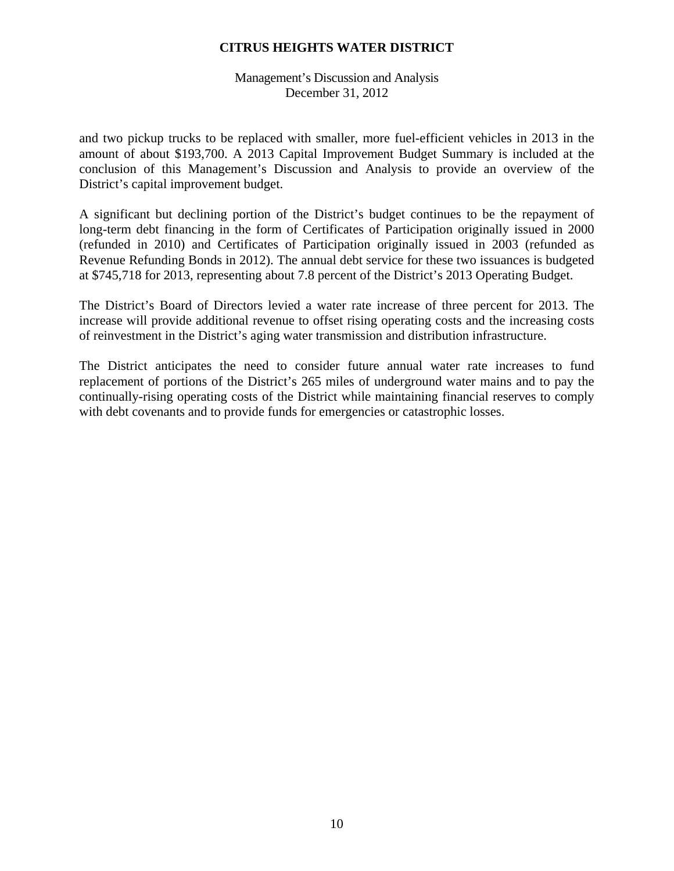### Management's Discussion and Analysis December 31, 2012

and two pickup trucks to be replaced with smaller, more fuel-efficient vehicles in 2013 in the amount of about \$193,700. A 2013 Capital Improvement Budget Summary is included at the conclusion of this Management's Discussion and Analysis to provide an overview of the District's capital improvement budget.

A significant but declining portion of the District's budget continues to be the repayment of long-term debt financing in the form of Certificates of Participation originally issued in 2000 (refunded in 2010) and Certificates of Participation originally issued in 2003 (refunded as Revenue Refunding Bonds in 2012). The annual debt service for these two issuances is budgeted at \$745,718 for 2013, representing about 7.8 percent of the District's 2013 Operating Budget.

The District's Board of Directors levied a water rate increase of three percent for 2013. The increase will provide additional revenue to offset rising operating costs and the increasing costs of reinvestment in the District's aging water transmission and distribution infrastructure.

The District anticipates the need to consider future annual water rate increases to fund replacement of portions of the District's 265 miles of underground water mains and to pay the continually-rising operating costs of the District while maintaining financial reserves to comply with debt covenants and to provide funds for emergencies or catastrophic losses.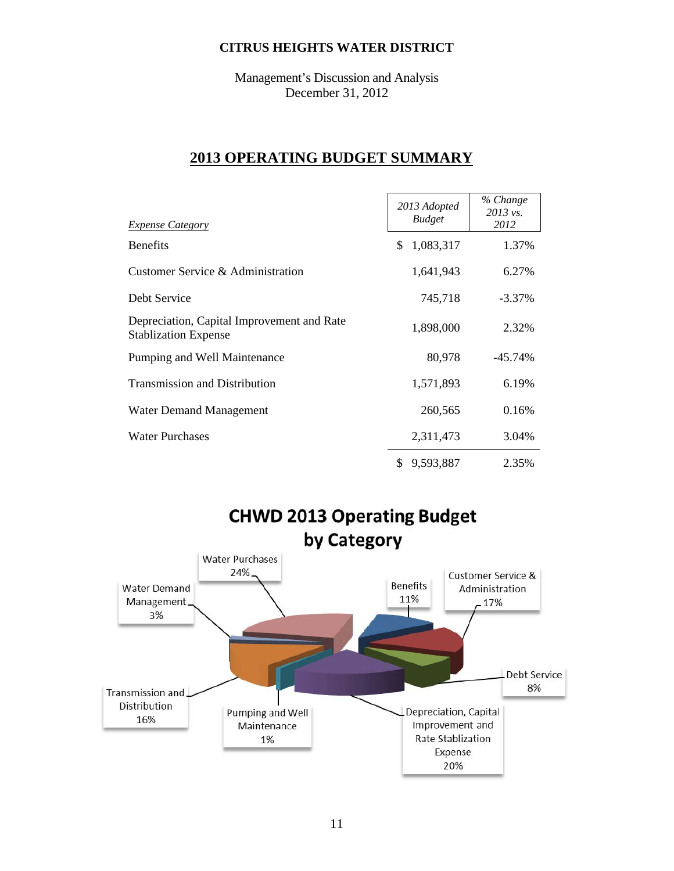Management's Discussion and Analysis December 31, 2012

## **2013 OPERATING BUDGET SUMMARY**

| <b>Expense Category</b>                                                   | 2013 Adopted<br><b>Budget</b> | % Change<br>2013 vs.<br>2012 |
|---------------------------------------------------------------------------|-------------------------------|------------------------------|
| <b>Benefits</b>                                                           | 1,083,317<br>\$.              | 1.37%                        |
| Customer Service & Administration                                         | 1,641,943                     | 6.27%                        |
| Debt Service                                                              | 745,718                       | $-3.37%$                     |
| Depreciation, Capital Improvement and Rate<br><b>Stablization Expense</b> | 1,898,000                     | 2.32%                        |
| Pumping and Well Maintenance                                              | 80,978                        | $-45.74%$                    |
| <b>Transmission and Distribution</b>                                      | 1,571,893                     | 6.19%                        |
| Water Demand Management                                                   | 260,565                       | 0.16%                        |
| <b>Water Purchases</b>                                                    | 2,311,473                     | 3.04%                        |
|                                                                           | 9,593,887<br>\$               | 2.35%                        |

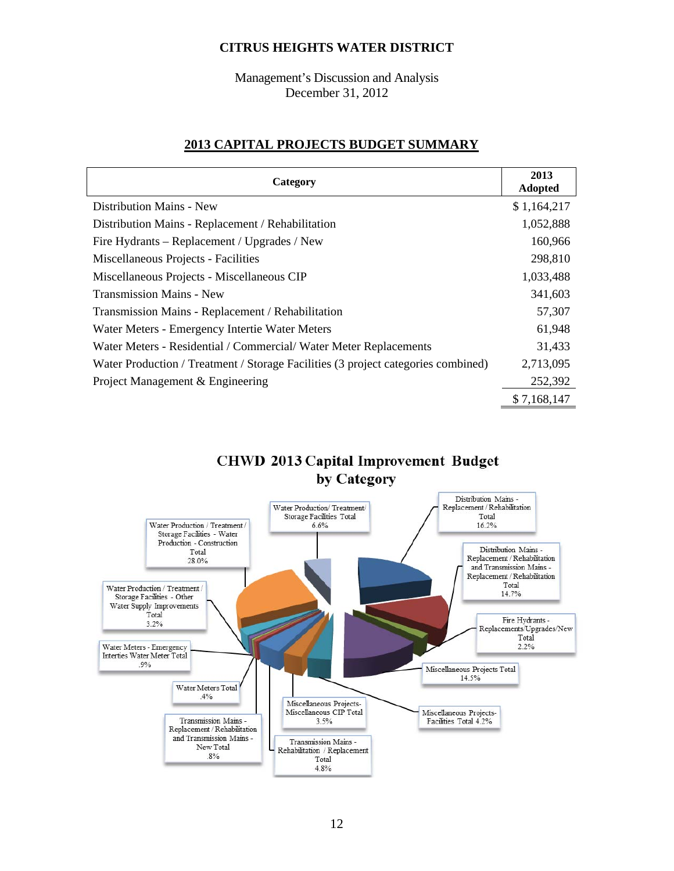Management's Discussion and Analysis December 31, 2012

## **2013 CAPITAL PROJECTS BUDGET SUMMARY**

| Category                                                                          | 2013<br><b>Adopted</b> |
|-----------------------------------------------------------------------------------|------------------------|
| Distribution Mains - New                                                          | \$1,164,217            |
| Distribution Mains - Replacement / Rehabilitation                                 | 1,052,888              |
| Fire Hydrants – Replacement / Upgrades / New                                      | 160,966                |
| Miscellaneous Projects - Facilities                                               | 298,810                |
| Miscellaneous Projects - Miscellaneous CIP                                        | 1,033,488              |
| <b>Transmission Mains - New</b>                                                   | 341,603                |
| Transmission Mains - Replacement / Rehabilitation                                 | 57,307                 |
| Water Meters - Emergency Intertie Water Meters                                    | 61,948                 |
| Water Meters - Residential / Commercial/Water Meter Replacements                  | 31,433                 |
| Water Production / Treatment / Storage Facilities (3 project categories combined) | 2,713,095              |
| Project Management & Engineering                                                  | 252,392                |
|                                                                                   | \$7,168,147            |

## **CHWD 2013 Capital Improvement Budget** by Category

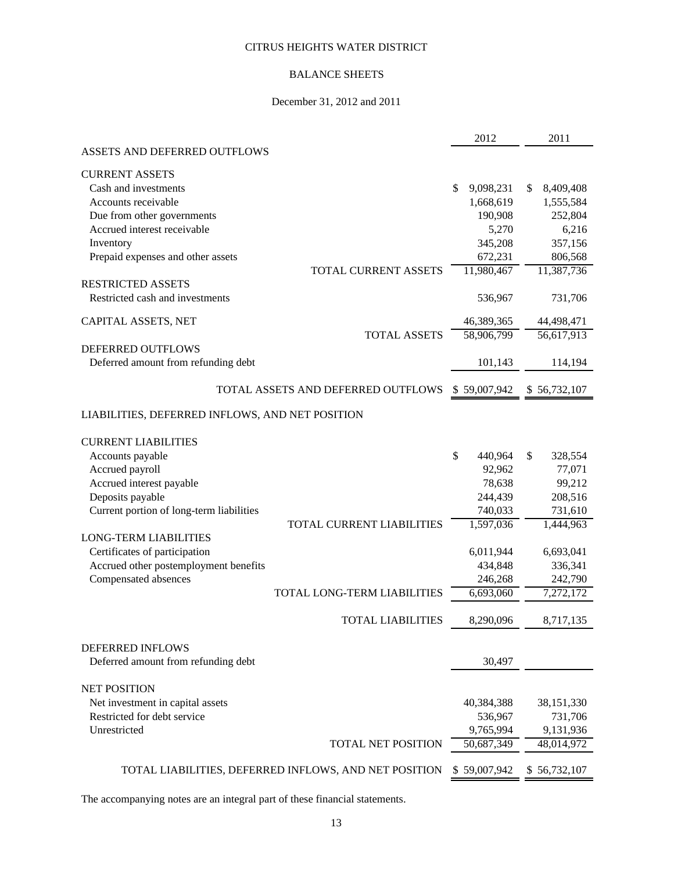### BALANCE SHEETS

## December 31, 2012 and 2011

|                                                                 |                                                       | 2012                            | 2011                  |
|-----------------------------------------------------------------|-------------------------------------------------------|---------------------------------|-----------------------|
| ASSETS AND DEFERRED OUTFLOWS                                    |                                                       |                                 |                       |
| <b>CURRENT ASSETS</b><br>Cash and investments                   |                                                       | \$<br>9,098,231                 | 8,409,408<br>S        |
| Accounts receivable                                             |                                                       | 1,668,619                       | 1,555,584             |
| Due from other governments                                      |                                                       | 190,908                         | 252,804               |
| Accrued interest receivable                                     |                                                       | 5,270                           | 6,216                 |
| Inventory                                                       |                                                       | 345,208                         | 357,156               |
| Prepaid expenses and other assets                               |                                                       | 672,231                         | 806,568               |
|                                                                 | TOTAL CURRENT ASSETS                                  | 11,980,467                      | 11,387,736            |
| <b>RESTRICTED ASSETS</b>                                        |                                                       |                                 |                       |
| Restricted cash and investments                                 |                                                       | 536,967                         | 731,706               |
| CAPITAL ASSETS, NET                                             |                                                       | 46,389,365                      | 44,498,471            |
|                                                                 | <b>TOTAL ASSETS</b>                                   | 58,906,799                      | 56,617,913            |
| DEFERRED OUTFLOWS                                               |                                                       |                                 |                       |
| Deferred amount from refunding debt                             |                                                       | 101,143                         | 114,194               |
|                                                                 | TOTAL ASSETS AND DEFERRED OUTFLOWS                    | $$59,007,942 \quad $56,732,107$ |                       |
| LIABILITIES, DEFERRED INFLOWS, AND NET POSITION                 |                                                       |                                 |                       |
| <b>CURRENT LIABILITIES</b><br>Accounts payable                  |                                                       | \$<br>440,964                   | 328,554<br>S          |
| Accrued payroll                                                 |                                                       | 92,962                          | 77,071                |
| Accrued interest payable                                        |                                                       | 78,638                          | 99,212                |
| Deposits payable                                                |                                                       | 244,439                         | 208,516               |
| Current portion of long-term liabilities                        |                                                       | 740,033                         | 731,610               |
| <b>LONG-TERM LIABILITIES</b>                                    | TOTAL CURRENT LIABILITIES                             | 1,597,036                       | 1,444,963             |
| Certificates of participation                                   |                                                       | 6,011,944                       | 6,693,041             |
| Accrued other postemployment benefits                           |                                                       | 434,848                         | 336,341               |
| Compensated absences                                            |                                                       | 246,268                         | 242,790               |
|                                                                 | TOTAL LONG-TERM LIABILITIES                           | 6,693,060                       | 7,272,172             |
|                                                                 | <b>TOTAL LIABILITIES</b>                              | 8,290,096                       | 8,717,135             |
| DEFERRED INFLOWS<br>Deferred amount from refunding debt         |                                                       | 30,497                          |                       |
|                                                                 |                                                       |                                 |                       |
| <b>NET POSITION</b>                                             |                                                       |                                 |                       |
| Net investment in capital assets<br>Restricted for debt service |                                                       | 40,384,388<br>536,967           | 38,151,330<br>731,706 |
| Unrestricted                                                    |                                                       | 9,765,994                       | 9,131,936             |
|                                                                 | TOTAL NET POSITION                                    | 50,687,349                      | 48,014,972            |
|                                                                 | TOTAL LIABILITIES, DEFERRED INFLOWS, AND NET POSITION | \$59,007,942                    | \$56,732,107          |
|                                                                 |                                                       |                                 |                       |

The accompanying notes are an integral part of these financial statements.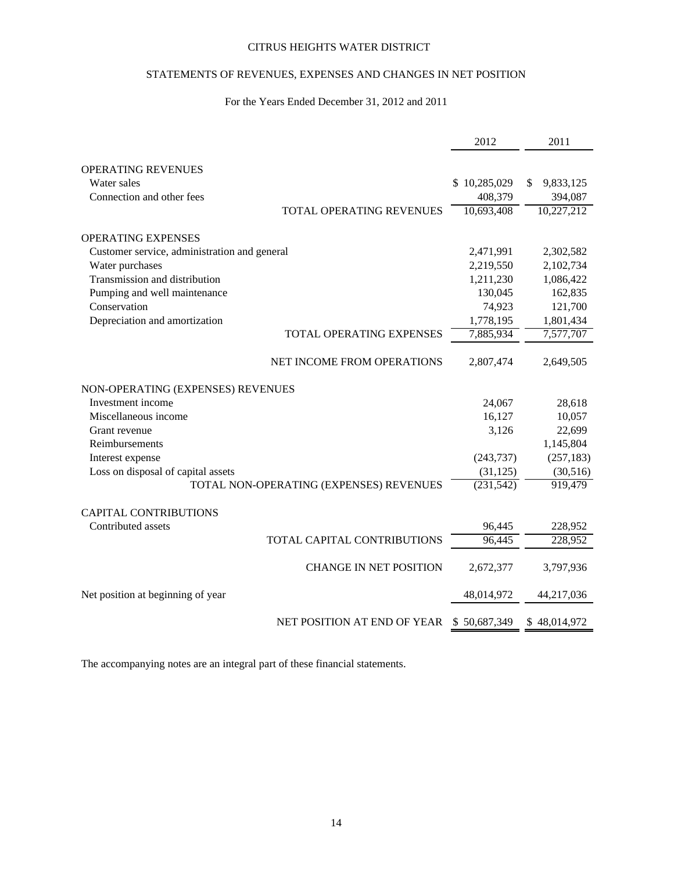## STATEMENTS OF REVENUES, EXPENSES AND CHANGES IN NET POSITION

### For the Years Ended December 31, 2012 and 2011

|                                              | 2012                    | 2011                  |
|----------------------------------------------|-------------------------|-----------------------|
|                                              |                         |                       |
| <b>OPERATING REVENUES</b><br>Water sales     |                         |                       |
| Connection and other fees                    | \$10,285,029<br>408,379 | \$<br>9,833,125       |
| TOTAL OPERATING REVENUES                     | 10,693,408              | 394,087<br>10,227,212 |
|                                              |                         |                       |
| <b>OPERATING EXPENSES</b>                    |                         |                       |
| Customer service, administration and general | 2,471,991               | 2,302,582             |
| Water purchases                              | 2,219,550               | 2,102,734             |
| Transmission and distribution                | 1,211,230               | 1,086,422             |
| Pumping and well maintenance                 | 130,045                 | 162,835               |
| Conservation                                 | 74,923                  | 121,700               |
| Depreciation and amortization                | 1,778,195               | 1,801,434             |
| <b>TOTAL OPERATING EXPENSES</b>              | 7,885,934               | 7,577,707             |
| <b>NET INCOME FROM OPERATIONS</b>            | 2,807,474               | 2,649,505             |
| NON-OPERATING (EXPENSES) REVENUES            |                         |                       |
| Investment income                            | 24,067                  | 28,618                |
| Miscellaneous income                         | 16,127                  | 10,057                |
| Grant revenue                                | 3,126                   | 22,699                |
| Reimbursements                               |                         | 1,145,804             |
| Interest expense                             | (243, 737)              | (257, 183)            |
| Loss on disposal of capital assets           | (31, 125)               | (30,516)              |
| TOTAL NON-OPERATING (EXPENSES) REVENUES      | (231, 542)              | 919,479               |
|                                              |                         |                       |
| <b>CAPITAL CONTRIBUTIONS</b>                 |                         |                       |
| Contributed assets                           | 96,445                  | 228,952               |
| TOTAL CAPITAL CONTRIBUTIONS                  | 96,445                  | 228,952               |
| <b>CHANGE IN NET POSITION</b>                | 2,672,377               | 3,797,936             |
| Net position at beginning of year            | 48,014,972              | 44,217,036            |
| NET POSITION AT END OF YEAR                  | \$50,687,349            | \$48,014,972          |

The accompanying notes are an integral part of these financial statements.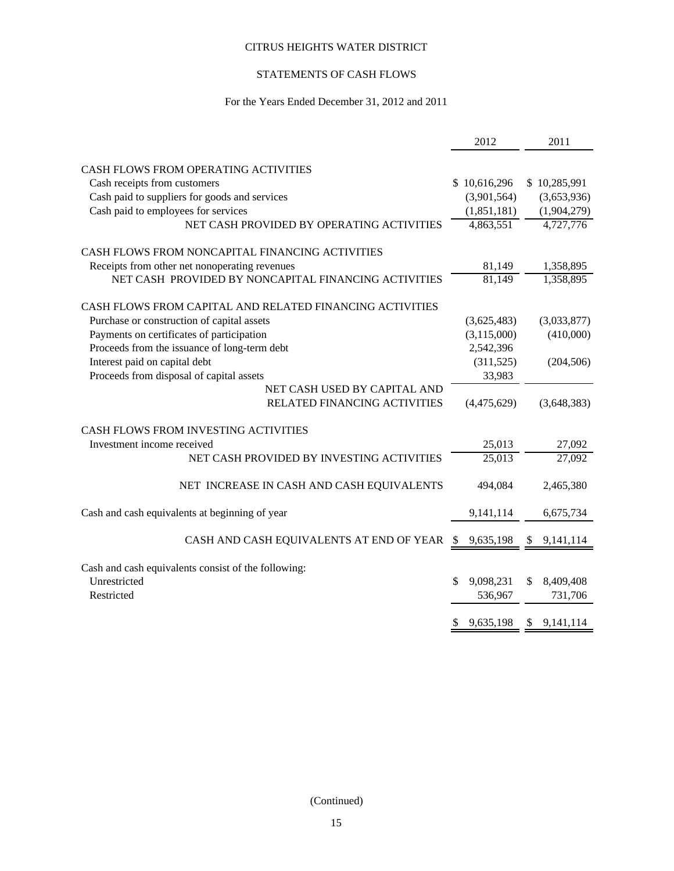### STATEMENTS OF CASH FLOWS

## For the Years Ended December 31, 2012 and 2011

|                                                                                      | 2012                     | 2011                     |
|--------------------------------------------------------------------------------------|--------------------------|--------------------------|
|                                                                                      |                          |                          |
| CASH FLOWS FROM OPERATING ACTIVITIES                                                 |                          |                          |
| Cash receipts from customers                                                         | \$10,616,296             | \$10,285,991             |
| Cash paid to suppliers for goods and services<br>Cash paid to employees for services | (3,901,564)              | (3,653,936)              |
| NET CASH PROVIDED BY OPERATING ACTIVITIES                                            | (1,851,181)<br>4,863,551 | (1,904,279)<br>4,727,776 |
|                                                                                      |                          |                          |
| CASH FLOWS FROM NONCAPITAL FINANCING ACTIVITIES                                      |                          |                          |
| Receipts from other net nonoperating revenues                                        | 81,149                   | 1,358,895                |
| NET CASH PROVIDED BY NONCAPITAL FINANCING ACTIVITIES                                 | 81,149                   | 1,358,895                |
| CASH FLOWS FROM CAPITAL AND RELATED FINANCING ACTIVITIES                             |                          |                          |
| Purchase or construction of capital assets                                           | (3,625,483)              | (3,033,877)              |
| Payments on certificates of participation                                            | (3, 115, 000)            | (410,000)                |
| Proceeds from the issuance of long-term debt                                         | 2,542,396                |                          |
| Interest paid on capital debt                                                        | (311, 525)               | (204, 506)               |
| Proceeds from disposal of capital assets                                             | 33,983                   |                          |
| NET CASH USED BY CAPITAL AND                                                         |                          |                          |
| RELATED FINANCING ACTIVITIES                                                         | (4,475,629)              | (3,648,383)              |
|                                                                                      |                          |                          |
| CASH FLOWS FROM INVESTING ACTIVITIES                                                 |                          |                          |
| Investment income received<br>NET CASH PROVIDED BY INVESTING ACTIVITIES              | 25,013<br>25,013         | 27,092<br>27,092         |
|                                                                                      |                          |                          |
| NET INCREASE IN CASH AND CASH EQUIVALENTS                                            | 494,084                  | 2,465,380                |
|                                                                                      |                          |                          |
| Cash and cash equivalents at beginning of year                                       | 9,141,114                | 6,675,734                |
| CASH AND CASH EQUIVALENTS AT END OF YEAR                                             | 9,635,198<br>\$          | 9,141,114                |
|                                                                                      |                          |                          |
| Cash and cash equivalents consist of the following:                                  |                          |                          |
| Unrestricted                                                                         | \$<br>9,098,231          | 8,409,408                |
| Restricted                                                                           | 536,967                  | 731,706                  |
|                                                                                      |                          |                          |
|                                                                                      | 9,635,198                | 9, 141, 114              |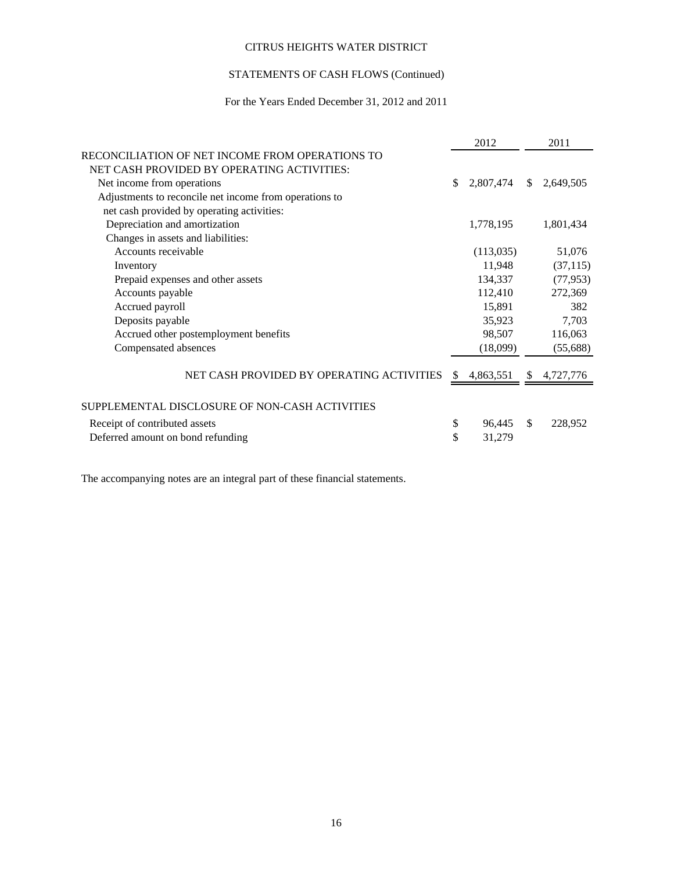## STATEMENTS OF CASH FLOWS (Continued)

## For the Years Ended December 31, 2012 and 2011

|                                                        | 2012            |     | 2011      |
|--------------------------------------------------------|-----------------|-----|-----------|
| RECONCILIATION OF NET INCOME FROM OPERATIONS TO        |                 |     |           |
| NET CASH PROVIDED BY OPERATING ACTIVITIES:             |                 |     |           |
| Net income from operations                             | \$<br>2,807,474 | \$. | 2,649,505 |
| Adjustments to reconcile net income from operations to |                 |     |           |
| net cash provided by operating activities:             |                 |     |           |
| Depreciation and amortization                          | 1,778,195       |     | 1,801,434 |
| Changes in assets and liabilities:                     |                 |     |           |
| Accounts receivable                                    | (113,035)       |     | 51,076    |
| Inventory                                              | 11,948          |     | (37, 115) |
| Prepaid expenses and other assets                      | 134,337         |     | (77, 953) |
| Accounts payable                                       | 112,410         |     | 272,369   |
| Accrued payroll                                        | 15,891          |     | 382       |
| Deposits payable                                       | 35,923          |     | 7,703     |
| Accrued other postemployment benefits                  | 98,507          |     | 116,063   |
| Compensated absences                                   | (18,099)        |     | (55,688)  |
|                                                        |                 |     |           |
| NET CASH PROVIDED BY OPERATING ACTIVITIES              | \$<br>4,863,551 | \$  | 4,727,776 |
|                                                        |                 |     |           |
| SUPPLEMENTAL DISCLOSURE OF NON-CASH ACTIVITIES         |                 |     |           |
| Receipt of contributed assets                          | \$<br>96,445    | \$. | 228,952   |
| Deferred amount on bond refunding                      | \$<br>31,279    |     |           |
|                                                        |                 |     |           |

The accompanying notes are an integral part of these financial statements.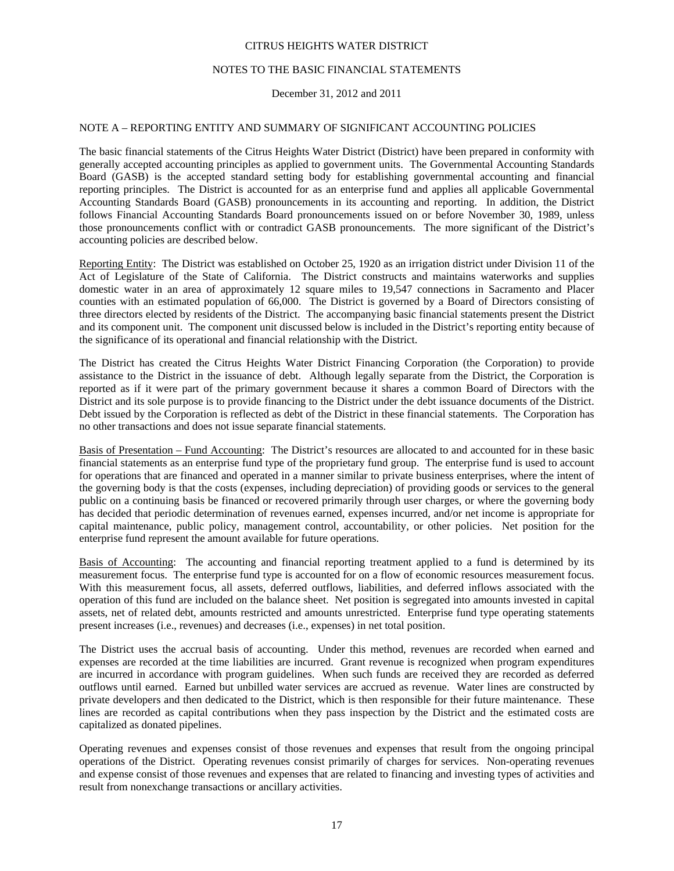#### NOTES TO THE BASIC FINANCIAL STATEMENTS

#### December 31, 2012 and 2011

#### NOTE A – REPORTING ENTITY AND SUMMARY OF SIGNIFICANT ACCOUNTING POLICIES

The basic financial statements of the Citrus Heights Water District (District) have been prepared in conformity with generally accepted accounting principles as applied to government units. The Governmental Accounting Standards Board (GASB) is the accepted standard setting body for establishing governmental accounting and financial reporting principles. The District is accounted for as an enterprise fund and applies all applicable Governmental Accounting Standards Board (GASB) pronouncements in its accounting and reporting. In addition, the District follows Financial Accounting Standards Board pronouncements issued on or before November 30, 1989, unless those pronouncements conflict with or contradict GASB pronouncements. The more significant of the District's accounting policies are described below.

Reporting Entity: The District was established on October 25, 1920 as an irrigation district under Division 11 of the Act of Legislature of the State of California. The District constructs and maintains waterworks and supplies domestic water in an area of approximately 12 square miles to 19,547 connections in Sacramento and Placer counties with an estimated population of 66,000. The District is governed by a Board of Directors consisting of three directors elected by residents of the District. The accompanying basic financial statements present the District and its component unit. The component unit discussed below is included in the District's reporting entity because of the significance of its operational and financial relationship with the District.

The District has created the Citrus Heights Water District Financing Corporation (the Corporation) to provide assistance to the District in the issuance of debt. Although legally separate from the District, the Corporation is reported as if it were part of the primary government because it shares a common Board of Directors with the District and its sole purpose is to provide financing to the District under the debt issuance documents of the District. Debt issued by the Corporation is reflected as debt of the District in these financial statements. The Corporation has no other transactions and does not issue separate financial statements.

Basis of Presentation – Fund Accounting: The District's resources are allocated to and accounted for in these basic financial statements as an enterprise fund type of the proprietary fund group. The enterprise fund is used to account for operations that are financed and operated in a manner similar to private business enterprises, where the intent of the governing body is that the costs (expenses, including depreciation) of providing goods or services to the general public on a continuing basis be financed or recovered primarily through user charges, or where the governing body has decided that periodic determination of revenues earned, expenses incurred, and/or net income is appropriate for capital maintenance, public policy, management control, accountability, or other policies. Net position for the enterprise fund represent the amount available for future operations.

Basis of Accounting: The accounting and financial reporting treatment applied to a fund is determined by its measurement focus. The enterprise fund type is accounted for on a flow of economic resources measurement focus. With this measurement focus, all assets, deferred outflows, liabilities, and deferred inflows associated with the operation of this fund are included on the balance sheet. Net position is segregated into amounts invested in capital assets, net of related debt, amounts restricted and amounts unrestricted. Enterprise fund type operating statements present increases (i.e., revenues) and decreases (i.e., expenses) in net total position.

The District uses the accrual basis of accounting. Under this method, revenues are recorded when earned and expenses are recorded at the time liabilities are incurred. Grant revenue is recognized when program expenditures are incurred in accordance with program guidelines. When such funds are received they are recorded as deferred outflows until earned. Earned but unbilled water services are accrued as revenue. Water lines are constructed by private developers and then dedicated to the District, which is then responsible for their future maintenance. These lines are recorded as capital contributions when they pass inspection by the District and the estimated costs are capitalized as donated pipelines.

Operating revenues and expenses consist of those revenues and expenses that result from the ongoing principal operations of the District. Operating revenues consist primarily of charges for services. Non-operating revenues and expense consist of those revenues and expenses that are related to financing and investing types of activities and result from nonexchange transactions or ancillary activities.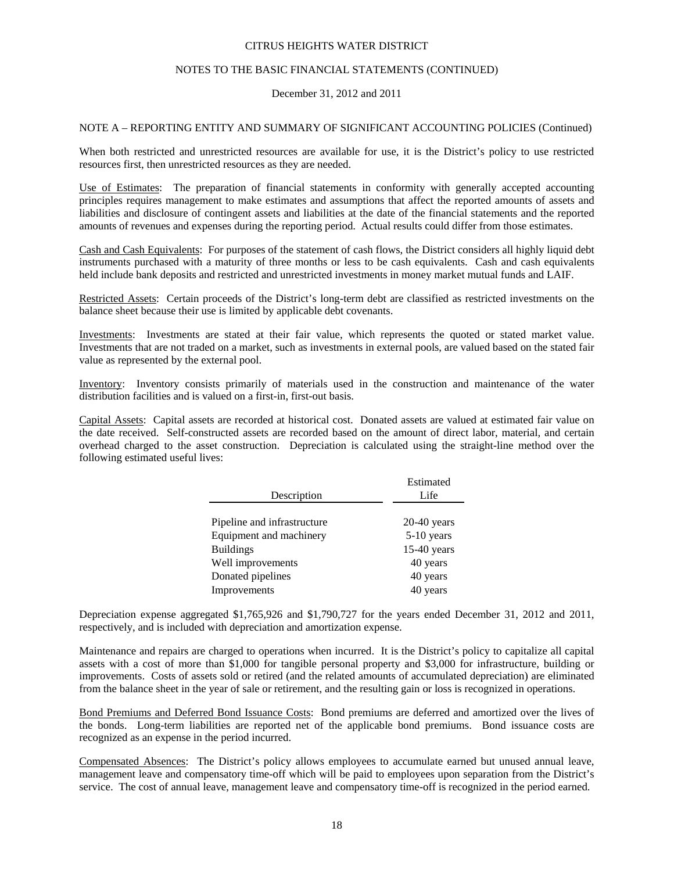#### NOTES TO THE BASIC FINANCIAL STATEMENTS (CONTINUED)

#### December 31, 2012 and 2011

#### NOTE A – REPORTING ENTITY AND SUMMARY OF SIGNIFICANT ACCOUNTING POLICIES (Continued)

When both restricted and unrestricted resources are available for use, it is the District's policy to use restricted resources first, then unrestricted resources as they are needed.

Use of Estimates: The preparation of financial statements in conformity with generally accepted accounting principles requires management to make estimates and assumptions that affect the reported amounts of assets and liabilities and disclosure of contingent assets and liabilities at the date of the financial statements and the reported amounts of revenues and expenses during the reporting period. Actual results could differ from those estimates.

Cash and Cash Equivalents: For purposes of the statement of cash flows, the District considers all highly liquid debt instruments purchased with a maturity of three months or less to be cash equivalents. Cash and cash equivalents held include bank deposits and restricted and unrestricted investments in money market mutual funds and LAIF.

Restricted Assets: Certain proceeds of the District's long-term debt are classified as restricted investments on the balance sheet because their use is limited by applicable debt covenants.

Investments: Investments are stated at their fair value, which represents the quoted or stated market value. Investments that are not traded on a market, such as investments in external pools, are valued based on the stated fair value as represented by the external pool.

Inventory: Inventory consists primarily of materials used in the construction and maintenance of the water distribution facilities and is valued on a first-in, first-out basis.

Capital Assets: Capital assets are recorded at historical cost. Donated assets are valued at estimated fair value on the date received. Self-constructed assets are recorded based on the amount of direct labor, material, and certain overhead charged to the asset construction. Depreciation is calculated using the straight-line method over the following estimated useful lives:

|                             | Estimated     |
|-----------------------------|---------------|
| Description                 | Life          |
|                             |               |
| Pipeline and infrastructure | $20-40$ years |
| Equipment and machinery     | $5-10$ years  |
| <b>Buildings</b>            | $15-40$ years |
| Well improvements           | 40 years      |
| Donated pipelines           | 40 years      |
| Improvements                | 40 years      |

Depreciation expense aggregated \$1,765,926 and \$1,790,727 for the years ended December 31, 2012 and 2011, respectively, and is included with depreciation and amortization expense.

Maintenance and repairs are charged to operations when incurred. It is the District's policy to capitalize all capital assets with a cost of more than \$1,000 for tangible personal property and \$3,000 for infrastructure, building or improvements. Costs of assets sold or retired (and the related amounts of accumulated depreciation) are eliminated from the balance sheet in the year of sale or retirement, and the resulting gain or loss is recognized in operations.

Bond Premiums and Deferred Bond Issuance Costs: Bond premiums are deferred and amortized over the lives of the bonds. Long-term liabilities are reported net of the applicable bond premiums. Bond issuance costs are recognized as an expense in the period incurred.

Compensated Absences: The District's policy allows employees to accumulate earned but unused annual leave, management leave and compensatory time-off which will be paid to employees upon separation from the District's service. The cost of annual leave, management leave and compensatory time-off is recognized in the period earned.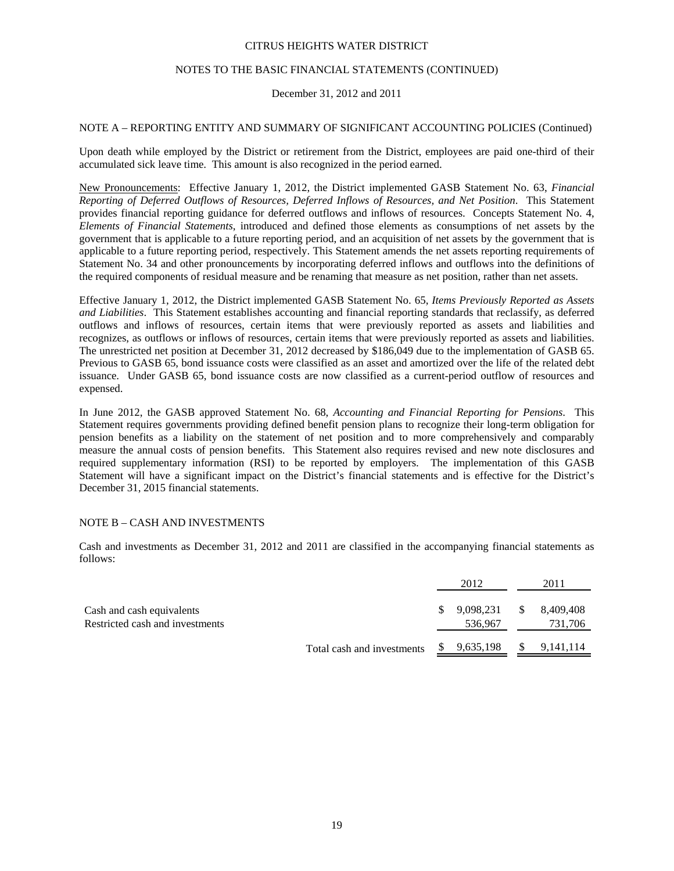#### NOTES TO THE BASIC FINANCIAL STATEMENTS (CONTINUED)

#### December 31, 2012 and 2011

#### NOTE A – REPORTING ENTITY AND SUMMARY OF SIGNIFICANT ACCOUNTING POLICIES (Continued)

Upon death while employed by the District or retirement from the District, employees are paid one-third of their accumulated sick leave time. This amount is also recognized in the period earned.

New Pronouncements: Effective January 1, 2012, the District implemented GASB Statement No. 63, *Financial Reporting of Deferred Outflows of Resources, Deferred Inflows of Resources, and Net Position*. This Statement provides financial reporting guidance for deferred outflows and inflows of resources. Concepts Statement No. 4, *Elements of Financial Statements*, introduced and defined those elements as consumptions of net assets by the government that is applicable to a future reporting period, and an acquisition of net assets by the government that is applicable to a future reporting period, respectively. This Statement amends the net assets reporting requirements of Statement No. 34 and other pronouncements by incorporating deferred inflows and outflows into the definitions of the required components of residual measure and be renaming that measure as net position, rather than net assets.

Effective January 1, 2012, the District implemented GASB Statement No. 65, *Items Previously Reported as Assets and Liabilities*. This Statement establishes accounting and financial reporting standards that reclassify, as deferred outflows and inflows of resources, certain items that were previously reported as assets and liabilities and recognizes, as outflows or inflows of resources, certain items that were previously reported as assets and liabilities. The unrestricted net position at December 31, 2012 decreased by \$186,049 due to the implementation of GASB 65. Previous to GASB 65, bond issuance costs were classified as an asset and amortized over the life of the related debt issuance. Under GASB 65, bond issuance costs are now classified as a current-period outflow of resources and expensed.

In June 2012, the GASB approved Statement No. 68, *Accounting and Financial Reporting for Pensions*. This Statement requires governments providing defined benefit pension plans to recognize their long-term obligation for pension benefits as a liability on the statement of net position and to more comprehensively and comparably measure the annual costs of pension benefits. This Statement also requires revised and new note disclosures and required supplementary information (RSI) to be reported by employers. The implementation of this GASB Statement will have a significant impact on the District's financial statements and is effective for the District's December 31, 2015 financial statements.

#### NOTE B – CASH AND INVESTMENTS

Cash and investments as December 31, 2012 and 2011 are classified in the accompanying financial statements as follows:

|                                                              |                            |              | 2012                 |    | 2011                 |
|--------------------------------------------------------------|----------------------------|--------------|----------------------|----|----------------------|
| Cash and cash equivalents<br>Restricted cash and investments |                            | <sup>S</sup> | 9,098,231<br>536,967 | -S | 8,409,408<br>731,706 |
|                                                              | Total cash and investments |              | 9,635,198            | -S | 9,141,114            |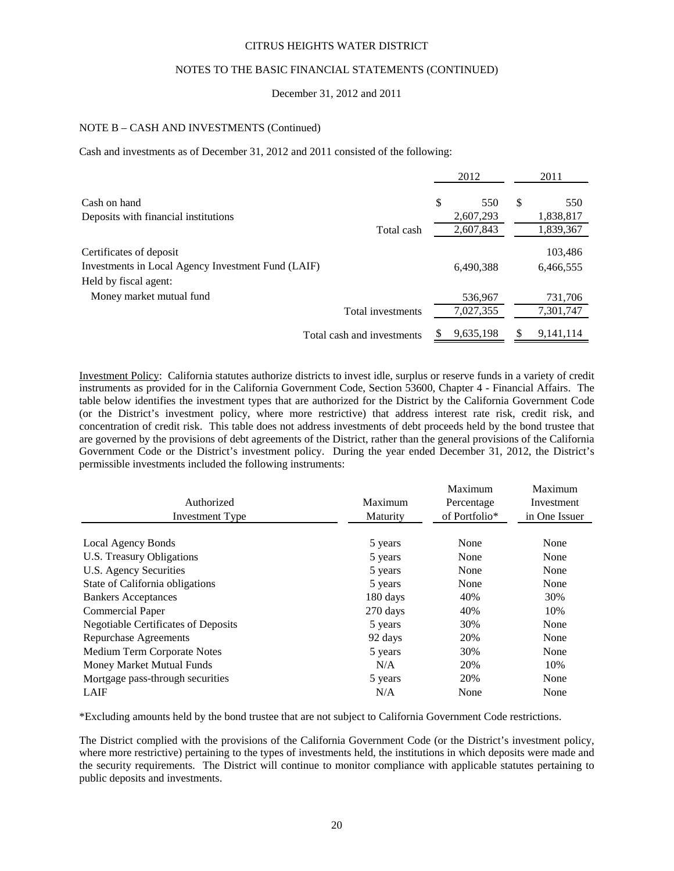#### NOTES TO THE BASIC FINANCIAL STATEMENTS (CONTINUED)

#### December 31, 2012 and 2011

#### NOTE B – CASH AND INVESTMENTS (Continued)

Cash and investments as of December 31, 2012 and 2011 consisted of the following:

|                                                    | 2012      |   | 2011      |
|----------------------------------------------------|-----------|---|-----------|
| Cash on hand                                       | \$<br>550 | S | 550       |
| Deposits with financial institutions               | 2,607,293 |   | 1,838,817 |
| Total cash                                         | 2,607,843 |   | 1,839,367 |
| Certificates of deposit                            |           |   | 103,486   |
| Investments in Local Agency Investment Fund (LAIF) | 6,490,388 |   | 6,466,555 |
| Held by fiscal agent:                              |           |   |           |
| Money market mutual fund                           | 536,967   |   | 731,706   |
| Total investments                                  | 7,027,355 |   | 7,301,747 |
| Total cash and investments                         | 9,635,198 |   | 9.141.114 |

Investment Policy: California statutes authorize districts to invest idle, surplus or reserve funds in a variety of credit instruments as provided for in the California Government Code, Section 53600, Chapter 4 - Financial Affairs. The table below identifies the investment types that are authorized for the District by the California Government Code (or the District's investment policy, where more restrictive) that address interest rate risk, credit risk, and concentration of credit risk. This table does not address investments of debt proceeds held by the bond trustee that are governed by the provisions of debt agreements of the District, rather than the general provisions of the California Government Code or the District's investment policy. During the year ended December 31, 2012, the District's permissible investments included the following instruments:

| Authorized<br>Investment Type       | Maximum<br>Maturity | Maximum<br>Percentage<br>of Portfolio* | Maximum<br>Investment<br>in One Issuer |
|-------------------------------------|---------------------|----------------------------------------|----------------------------------------|
| Local Agency Bonds                  | 5 years             | None                                   | None                                   |
| U.S. Treasury Obligations           | 5 years             | None                                   | None                                   |
| U.S. Agency Securities              | 5 years             | None                                   | None                                   |
| State of California obligations     | 5 years             | None                                   | None                                   |
| <b>Bankers Acceptances</b>          | 180 days            | 40%                                    | 30%                                    |
| Commercial Paper                    | 270 days            | 40%                                    | 10%                                    |
| Negotiable Certificates of Deposits | 5 years             | 30%                                    | None                                   |
| <b>Repurchase Agreements</b>        | 92 days             | 20%                                    | None                                   |
| Medium Term Corporate Notes         | 5 years             | 30%                                    | None                                   |
| Money Market Mutual Funds           | N/A                 | 20%                                    | 10%                                    |
| Mortgage pass-through securities    | 5 years             | 20%                                    | None                                   |
| LAIF                                | N/A                 | None                                   | None                                   |

\*Excluding amounts held by the bond trustee that are not subject to California Government Code restrictions.

The District complied with the provisions of the California Government Code (or the District's investment policy, where more restrictive) pertaining to the types of investments held, the institutions in which deposits were made and the security requirements. The District will continue to monitor compliance with applicable statutes pertaining to public deposits and investments.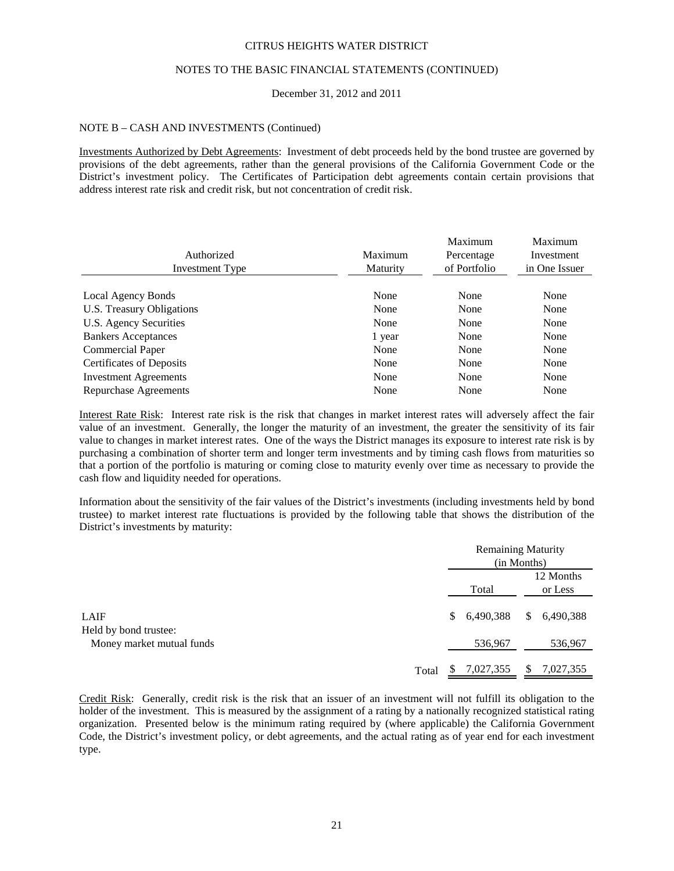#### NOTES TO THE BASIC FINANCIAL STATEMENTS (CONTINUED)

#### December 31, 2012 and 2011

#### NOTE B – CASH AND INVESTMENTS (Continued)

Investments Authorized by Debt Agreements: Investment of debt proceeds held by the bond trustee are governed by provisions of the debt agreements, rather than the general provisions of the California Government Code or the District's investment policy. The Certificates of Participation debt agreements contain certain provisions that address interest rate risk and credit risk, but not concentration of credit risk.

|                                 |          | Maximum      | Maximum       |
|---------------------------------|----------|--------------|---------------|
| Authorized                      | Maximum  | Percentage   | Investment    |
| Investment Type                 | Maturity | of Portfolio | in One Issuer |
|                                 |          |              |               |
| Local Agency Bonds              | None     | None         | None          |
| U.S. Treasury Obligations       | None     | None         | None          |
| U.S. Agency Securities          | None     | None         | None          |
| <b>Bankers Acceptances</b>      | 1 year   | None         | None          |
| Commercial Paper                | None     | None         | None          |
| <b>Certificates of Deposits</b> | None     | None         | None          |
| <b>Investment Agreements</b>    | None     | None         | None          |
| Repurchase Agreements           | None     | None         | None          |

Interest Rate Risk: Interest rate risk is the risk that changes in market interest rates will adversely affect the fair value of an investment. Generally, the longer the maturity of an investment, the greater the sensitivity of its fair value to changes in market interest rates. One of the ways the District manages its exposure to interest rate risk is by purchasing a combination of shorter term and longer term investments and by timing cash flows from maturities so that a portion of the portfolio is maturing or coming close to maturity evenly over time as necessary to provide the cash flow and liquidity needed for operations.

Information about the sensitivity of the fair values of the District's investments (including investments held by bond trustee) to market interest rate fluctuations is provided by the following table that shows the distribution of the District's investments by maturity:

|                                                    |       | <b>Remaining Maturity</b><br>(in Months) |           |                      |           |
|----------------------------------------------------|-------|------------------------------------------|-----------|----------------------|-----------|
|                                                    |       |                                          | Total     | 12 Months<br>or Less |           |
| LAIF                                               |       | <sup>\$</sup>                            | 6,490,388 | S                    | 6,490,388 |
| Held by bond trustee:<br>Money market mutual funds |       |                                          | 536,967   |                      | 536,967   |
|                                                    | Total |                                          | 7,027,355 |                      | 7,027,355 |

Credit Risk: Generally, credit risk is the risk that an issuer of an investment will not fulfill its obligation to the holder of the investment. This is measured by the assignment of a rating by a nationally recognized statistical rating organization. Presented below is the minimum rating required by (where applicable) the California Government Code, the District's investment policy, or debt agreements, and the actual rating as of year end for each investment type.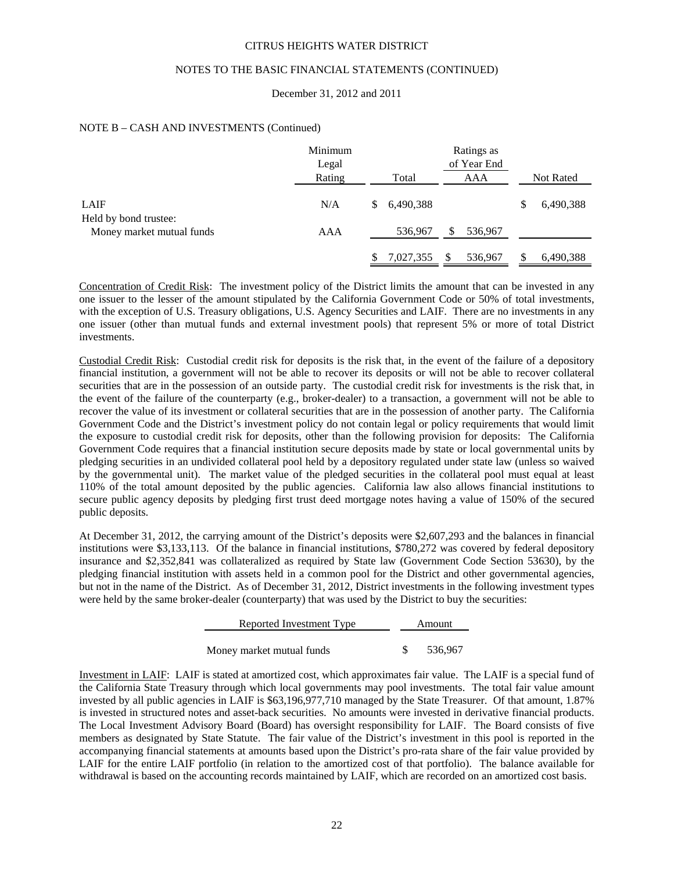#### NOTES TO THE BASIC FINANCIAL STATEMENTS (CONTINUED)

#### December 31, 2012 and 2011

#### NOTE B – CASH AND INVESTMENTS (Continued)

|                               | Minimum<br>Legal |    |           |   |         |   |           |  |  |           |
|-------------------------------|------------------|----|-----------|---|---------|---|-----------|--|--|-----------|
|                               | Rating           |    |           |   | Total   |   | AAA       |  |  | Not Rated |
| LAIF<br>Held by bond trustee: | N/A              | S. | 6,490,388 |   |         | S | 6,490,388 |  |  |           |
| Money market mutual funds     | AAA              |    | 536,967   | S | 536,967 |   |           |  |  |           |
|                               |                  |    | 7,027,355 |   | 536,967 |   | 6,490,388 |  |  |           |

Concentration of Credit Risk: The investment policy of the District limits the amount that can be invested in any one issuer to the lesser of the amount stipulated by the California Government Code or 50% of total investments, with the exception of U.S. Treasury obligations, U.S. Agency Securities and LAIF. There are no investments in any one issuer (other than mutual funds and external investment pools) that represent 5% or more of total District investments.

Custodial Credit Risk: Custodial credit risk for deposits is the risk that, in the event of the failure of a depository financial institution, a government will not be able to recover its deposits or will not be able to recover collateral securities that are in the possession of an outside party. The custodial credit risk for investments is the risk that, in the event of the failure of the counterparty (e.g., broker-dealer) to a transaction, a government will not be able to recover the value of its investment or collateral securities that are in the possession of another party. The California Government Code and the District's investment policy do not contain legal or policy requirements that would limit the exposure to custodial credit risk for deposits, other than the following provision for deposits: The California Government Code requires that a financial institution secure deposits made by state or local governmental units by pledging securities in an undivided collateral pool held by a depository regulated under state law (unless so waived by the governmental unit). The market value of the pledged securities in the collateral pool must equal at least 110% of the total amount deposited by the public agencies. California law also allows financial institutions to secure public agency deposits by pledging first trust deed mortgage notes having a value of 150% of the secured public deposits.

At December 31, 2012, the carrying amount of the District's deposits were \$2,607,293 and the balances in financial institutions were \$3,133,113. Of the balance in financial institutions, \$780,272 was covered by federal depository insurance and \$2,352,841 was collateralized as required by State law (Government Code Section 53630), by the pledging financial institution with assets held in a common pool for the District and other governmental agencies, but not in the name of the District. As of December 31, 2012, District investments in the following investment types were held by the same broker-dealer (counterparty) that was used by the District to buy the securities:

| Reported Investment Type  | Amount  |
|---------------------------|---------|
|                           |         |
| Money market mutual funds | 536,967 |

Investment in LAIF: LAIF is stated at amortized cost, which approximates fair value. The LAIF is a special fund of the California State Treasury through which local governments may pool investments. The total fair value amount invested by all public agencies in LAIF is \$63,196,977,710 managed by the State Treasurer. Of that amount, 1.87% is invested in structured notes and asset-back securities. No amounts were invested in derivative financial products. The Local Investment Advisory Board (Board) has oversight responsibility for LAIF. The Board consists of five members as designated by State Statute. The fair value of the District's investment in this pool is reported in the accompanying financial statements at amounts based upon the District's pro-rata share of the fair value provided by LAIF for the entire LAIF portfolio (in relation to the amortized cost of that portfolio). The balance available for withdrawal is based on the accounting records maintained by LAIF, which are recorded on an amortized cost basis.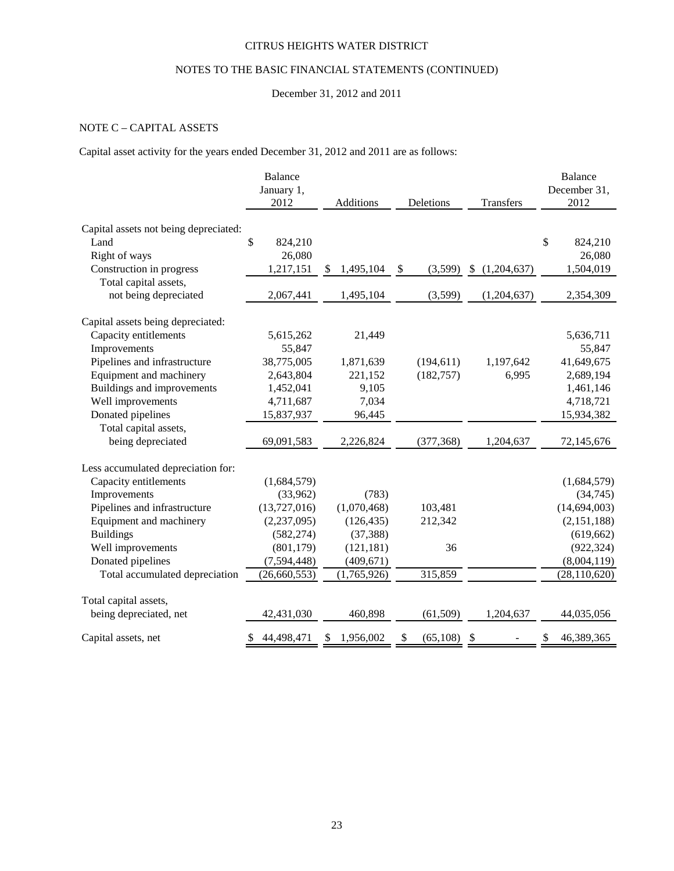## NOTES TO THE BASIC FINANCIAL STATEMENTS (CONTINUED)

## December 31, 2012 and 2011

### NOTE C – CAPITAL ASSETS

Capital asset activity for the years ended December 31, 2012 and 2011 are as follows:

|                                       | <b>Balance</b><br>January 1,<br>2012 | Additions       | <b>Balance</b><br>December 31,<br>2012 |                            |                  |
|---------------------------------------|--------------------------------------|-----------------|----------------------------------------|----------------------------|------------------|
|                                       |                                      |                 | Deletions                              | Transfers                  |                  |
| Capital assets not being depreciated: |                                      |                 |                                        |                            |                  |
| Land                                  | \$<br>824,210                        |                 |                                        |                            | \$<br>824,210    |
| Right of ways                         | 26,080                               |                 |                                        |                            | 26,080           |
| Construction in progress              | 1,217,151                            | 1,495,104<br>S. | S.                                     | $(3,599)$ \$ $(1,204,637)$ | 1,504,019        |
| Total capital assets,                 |                                      |                 |                                        |                            |                  |
| not being depreciated                 | 2,067,441                            | 1,495,104       | (3,599)                                | (1,204,637)                | 2,354,309        |
| Capital assets being depreciated:     |                                      |                 |                                        |                            |                  |
| Capacity entitlements                 | 5,615,262                            | 21,449          |                                        |                            | 5,636,711        |
| Improvements                          | 55,847                               |                 |                                        |                            | 55,847           |
| Pipelines and infrastructure          | 38,775,005                           | 1,871,639       | (194, 611)                             | 1,197,642                  | 41,649,675       |
| Equipment and machinery               | 2,643,804                            | 221,152         | (182, 757)                             | 6,995                      | 2,689,194        |
| Buildings and improvements            | 1,452,041                            | 9,105           |                                        |                            | 1,461,146        |
| Well improvements                     | 4,711,687                            | 7,034           |                                        |                            | 4,718,721        |
| Donated pipelines                     | 15,837,937                           | 96,445          |                                        |                            | 15,934,382       |
| Total capital assets,                 |                                      |                 |                                        |                            |                  |
| being depreciated                     | 69,091,583                           | 2,226,824       | (377, 368)                             | 1,204,637                  | 72,145,676       |
| Less accumulated depreciation for:    |                                      |                 |                                        |                            |                  |
| Capacity entitlements                 | (1,684,579)                          |                 |                                        |                            | (1,684,579)      |
| Improvements                          | (33,962)                             | (783)           |                                        |                            | (34, 745)        |
| Pipelines and infrastructure          | (13,727,016)                         | (1,070,468)     | 103,481                                |                            | (14, 694, 003)   |
| Equipment and machinery               | (2,237,095)                          | (126, 435)      | 212,342                                |                            | (2,151,188)      |
| <b>Buildings</b>                      | (582, 274)                           | (37, 388)       |                                        |                            | (619, 662)       |
| Well improvements                     | (801, 179)                           | (121, 181)      | 36                                     |                            | (922, 324)       |
| Donated pipelines                     | (7,594,448)                          | (409, 671)      |                                        |                            | (8,004,119)      |
| Total accumulated depreciation        | (26,660,553)                         | (1,765,926)     | 315,859                                |                            | (28, 110, 620)   |
| Total capital assets,                 |                                      |                 |                                        |                            |                  |
| being depreciated, net                | 42,431,030                           | 460,898         | (61, 509)                              | 1,204,637                  | 44,035,056       |
| Capital assets, net                   | 44,498,471<br>\$                     | 1,956,002<br>\$ | \$<br>(65, 108)                        | \$                         | \$<br>46,389,365 |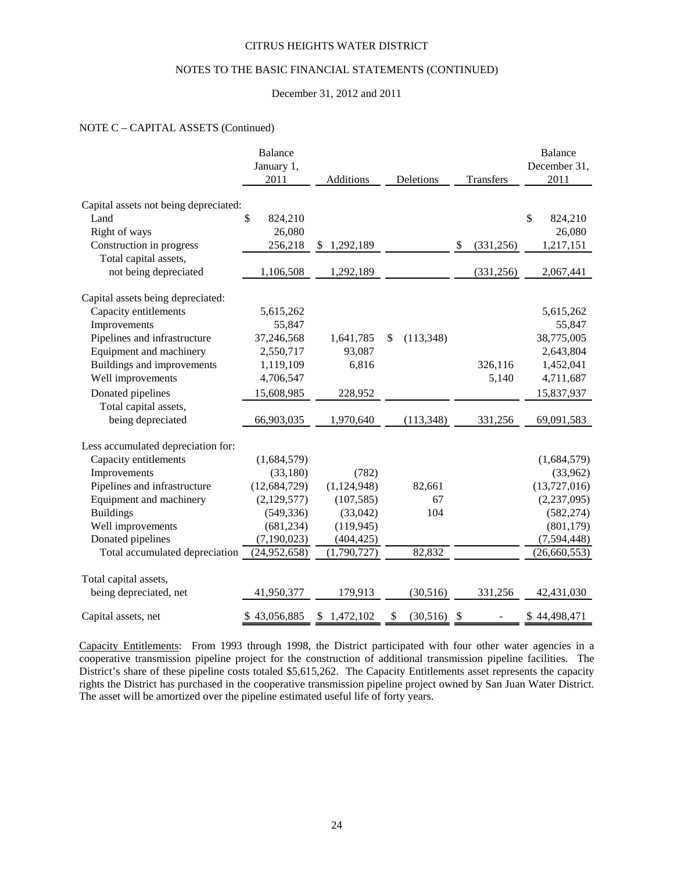#### NOTES TO THE BASIC FINANCIAL STATEMENTS (CONTINUED)

#### December 31, 2012 and 2011

#### NOTE C – CAPITAL ASSETS (Continued)

|                                       | <b>Balance</b> |                 |                  |                           | <b>Balance</b> |
|---------------------------------------|----------------|-----------------|------------------|---------------------------|----------------|
|                                       | January 1,     |                 |                  |                           | December 31,   |
|                                       | 2011           | Additions       | Deletions        | Transfers                 | 2011           |
| Capital assets not being depreciated: |                |                 |                  |                           |                |
| Land                                  | \$<br>824,210  |                 |                  |                           | \$<br>824,210  |
| Right of ways                         | 26,080         |                 |                  |                           | 26,080         |
| Construction in progress              | 256,218        | 1,292,189<br>S. |                  | S<br>(331, 256)           | 1,217,151      |
| Total capital assets,                 |                |                 |                  |                           |                |
| not being depreciated                 | 1,106,508      | 1,292,189       |                  | (331, 256)                | 2,067,441      |
| Capital assets being depreciated:     |                |                 |                  |                           |                |
| Capacity entitlements                 | 5,615,262      |                 |                  |                           | 5,615,262      |
| Improvements                          | 55,847         |                 |                  |                           | 55,847         |
| Pipelines and infrastructure          | 37,246,568     | 1,641,785       | (113, 348)<br>\$ |                           | 38,775,005     |
| Equipment and machinery               | 2,550,717      | 93,087          |                  |                           | 2,643,804      |
| Buildings and improvements            | 1,119,109      | 6,816           |                  | 326,116                   | 1,452,041      |
| Well improvements                     | 4,706,547      |                 |                  | 5,140                     | 4,711,687      |
| Donated pipelines                     | 15,608,985     | 228,952         |                  |                           | 15,837,937     |
| Total capital assets,                 |                |                 |                  |                           |                |
| being depreciated                     | 66,903,035     | 1,970,640       | (113, 348)       | 331,256                   | 69,091,583     |
| Less accumulated depreciation for:    |                |                 |                  |                           |                |
| Capacity entitlements                 | (1,684,579)    |                 |                  |                           | (1,684,579)    |
| Improvements                          | (33,180)       | (782)           |                  |                           | (33,962)       |
| Pipelines and infrastructure          | (12, 684, 729) | (1, 124, 948)   | 82,661           |                           | (13, 727, 016) |
| Equipment and machinery               | (2,129,577)    | (107, 585)      | 67               |                           | (2,237,095)    |
| <b>Buildings</b>                      | (549, 336)     | (33,042)        | 104              |                           | (582, 274)     |
| Well improvements                     | (681, 234)     | (119, 945)      |                  |                           | (801, 179)     |
| Donated pipelines                     | (7, 190, 023)  | (404, 425)      |                  |                           | (7,594,448)    |
| Total accumulated depreciation        | (24,952,658)   | (1,790,727)     | 82,832           |                           | (26,660,553)   |
| Total capital assets,                 |                |                 |                  |                           |                |
| being depreciated, net                | 41,950,377     | 179,913         | (30,516)         | 331,256                   | 42,431,030     |
| Capital assets, net                   | \$43,056,885   | 1,472,102<br>\$ | (30,516)<br>\$   | $\boldsymbol{\mathsf{S}}$ | \$44,498,471   |

Capacity Entitlements: From 1993 through 1998, the District participated with four other water agencies in a cooperative transmission pipeline project for the construction of additional transmission pipeline facilities. The District's share of these pipeline costs totaled \$5,615,262. The Capacity Entitlements asset represents the capacity rights the District has purchased in the cooperative transmission pipeline project owned by San Juan Water District. The asset will be amortized over the pipeline estimated useful life of forty years.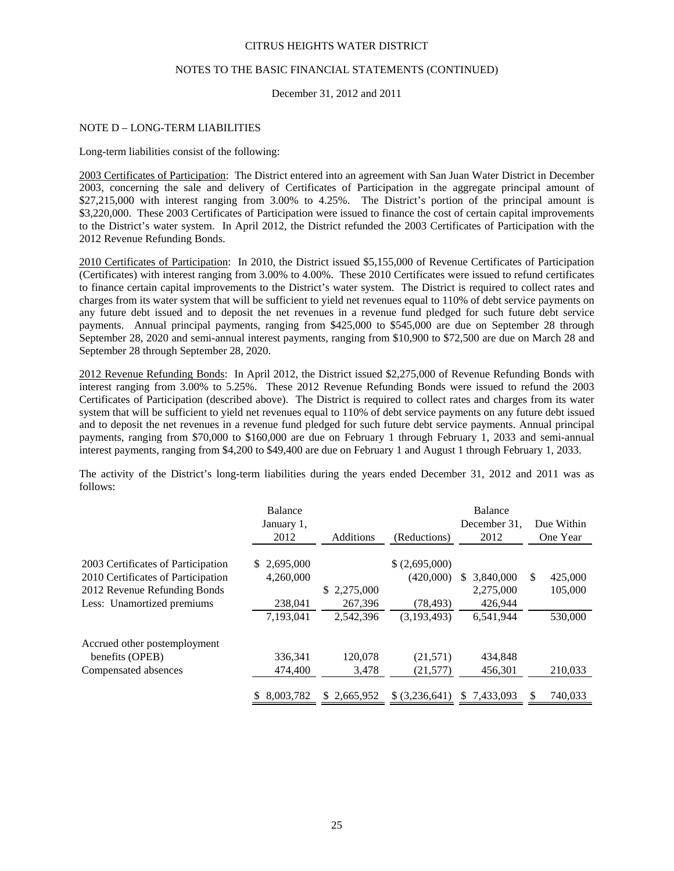#### NOTES TO THE BASIC FINANCIAL STATEMENTS (CONTINUED)

December 31, 2012 and 2011

#### NOTE D – LONG-TERM LIABILITIES

Long-term liabilities consist of the following:

2003 Certificates of Participation: The District entered into an agreement with San Juan Water District in December 2003, concerning the sale and delivery of Certificates of Participation in the aggregate principal amount of \$27,215,000 with interest ranging from 3.00% to 4.25%. The District's portion of the principal amount is \$3,220,000. These 2003 Certificates of Participation were issued to finance the cost of certain capital improvements to the District's water system. In April 2012, the District refunded the 2003 Certificates of Participation with the 2012 Revenue Refunding Bonds.

2010 Certificates of Participation: In 2010, the District issued \$5,155,000 of Revenue Certificates of Participation (Certificates) with interest ranging from 3.00% to 4.00%. These 2010 Certificates were issued to refund certificates to finance certain capital improvements to the District's water system. The District is required to collect rates and charges from its water system that will be sufficient to yield net revenues equal to 110% of debt service payments on any future debt issued and to deposit the net revenues in a revenue fund pledged for such future debt service payments. Annual principal payments, ranging from \$425,000 to \$545,000 are due on September 28 through September 28, 2020 and semi-annual interest payments, ranging from \$10,900 to \$72,500 are due on March 28 and September 28 through September 28, 2020.

2012 Revenue Refunding Bonds: In April 2012, the District issued \$2,275,000 of Revenue Refunding Bonds with interest ranging from 3.00% to 5.25%. These 2012 Revenue Refunding Bonds were issued to refund the 2003 Certificates of Participation (described above). The District is required to collect rates and charges from its water system that will be sufficient to yield net revenues equal to 110% of debt service payments on any future debt issued and to deposit the net revenues in a revenue fund pledged for such future debt service payments. Annual principal payments, ranging from \$70,000 to \$160,000 are due on February 1 through February 1, 2033 and semi-annual interest payments, ranging from \$4,200 to \$49,400 are due on February 1 and August 1 through February 1, 2033.

The activity of the District's long-term liabilities during the years ended December 31, 2012 and 2011 was as follows:

|                                    | <b>Balance</b> |             |                | Balance        |            |          |
|------------------------------------|----------------|-------------|----------------|----------------|------------|----------|
|                                    | January 1,     |             |                | December 31.   | Due Within |          |
|                                    | 2012           | Additions   | (Reductions)   | 2012           |            | One Year |
|                                    |                |             |                |                |            |          |
| 2003 Certificates of Participation | \$2,695,000    |             | (2,695,000)    |                |            |          |
| 2010 Certificates of Participation | 4,260,000      |             | (420,000)      | 3.840.000<br>S | \$         | 425,000  |
| 2012 Revenue Refunding Bonds       |                | \$2,275,000 |                | 2,275,000      |            | 105,000  |
| Less: Unamortized premiums         | 238,041        | 267,396     | (78, 493)      | 426,944        |            |          |
|                                    | 7,193,041      | 2,542,396   | (3,193,493)    | 6,541,944      |            | 530,000  |
| Accrued other postemployment       |                |             |                |                |            |          |
| benefits (OPEB)                    | 336,341        | 120,078     | (21,571)       | 434,848        |            |          |
| Compensated absences               | 474,400        | 3,478       | (21, 577)      | 456,301        |            | 210,033  |
|                                    | 8.003.782      | \$2,665,952 | \$ (3.236.641) | \$ 7.433,093   | \$         | 740,033  |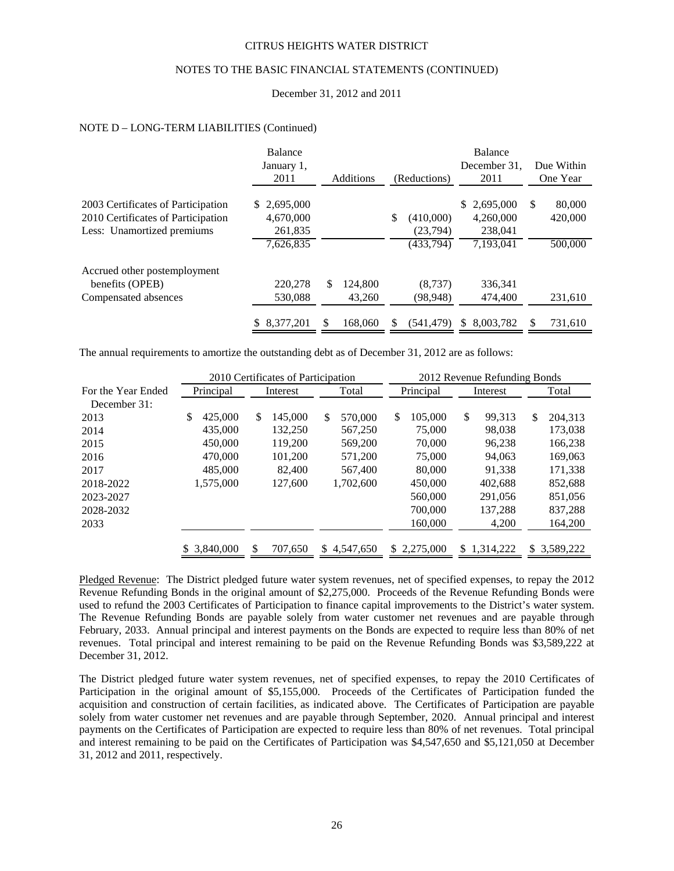#### NOTES TO THE BASIC FINANCIAL STATEMENTS (CONTINUED)

#### December 31, 2012 and 2011

#### NOTE D – LONG-TERM LIABILITIES (Continued)

|                                                                                                        | Balance<br>January 1,<br>2011                    | <b>Additions</b>        | (Reductions)                              | <b>Balance</b><br>December 31.<br>2011           | Due Within<br>One Year             |
|--------------------------------------------------------------------------------------------------------|--------------------------------------------------|-------------------------|-------------------------------------------|--------------------------------------------------|------------------------------------|
| 2003 Certificates of Participation<br>2010 Certificates of Participation<br>Less: Unamortized premiums | \$2,695,000<br>4,670,000<br>261,835<br>7,626,835 |                         | \$<br>(410,000)<br>(23, 794)<br>(433,794) | \$2,695,000<br>4,260,000<br>238,041<br>7,193,041 | \$<br>80,000<br>420,000<br>500,000 |
| Accrued other postemployment<br>benefits (OPEB)<br>Compensated absences                                | 220,278<br>530,088                               | \$<br>124,800<br>43.260 | (8,737)<br>(98, 948)                      | 336,341<br>474,400                               | 231,610                            |
|                                                                                                        | 8,377,201<br>S.                                  | \$<br>168,060           | (541,479)                                 | 8,003,782<br>S.                                  | 731,610                            |

The annual requirements to amortize the outstanding debt as of December 31, 2012 are as follows:

|                    | 2010 Certificates of Participation |          |         |       |           |           | 2012 Revenue Refunding Bonds |          |           |       |             |
|--------------------|------------------------------------|----------|---------|-------|-----------|-----------|------------------------------|----------|-----------|-------|-------------|
| For the Year Ended | Principal                          | Interest |         | Total |           | Principal |                              | Interest |           | Total |             |
| December 31:       |                                    |          |         |       |           |           |                              |          |           |       |             |
| 2013               | \$<br>425,000                      | \$.      | 145,000 | \$.   | 570,000   | \$        | 105,000                      | \$       | 99.313    | \$    | 204,313     |
| 2014               | 435,000                            |          | 132.250 |       | 567,250   |           | 75,000                       |          | 98,038    |       | 173,038     |
| 2015               | 450,000                            |          | 119,200 |       | 569,200   |           | 70,000                       |          | 96.238    |       | 166,238     |
| 2016               | 470,000                            |          | 101.200 |       | 571,200   |           | 75,000                       |          | 94,063    |       | 169,063     |
| 2017               | 485,000                            |          | 82,400  |       | 567,400   |           | 80,000                       |          | 91.338    |       | 171,338     |
| 2018-2022          | 1.575,000                          |          | 127.600 |       | 1.702.600 |           | 450,000                      |          | 402,688   |       | 852,688     |
| 2023-2027          |                                    |          |         |       |           |           | 560,000                      |          | 291,056   |       | 851,056     |
| 2028-2032          |                                    |          |         |       |           |           | 700,000                      |          | 137,288   |       | 837,288     |
| 2033               |                                    |          |         |       |           |           | 160,000                      |          | 4,200     |       | 164,200     |
|                    |                                    |          |         |       |           |           |                              |          |           |       |             |
|                    | 3.840,000<br>S.                    |          | 707.650 | S.    | 4.547.650 |           | \$2,275,000                  | S.       | 1.314.222 |       | \$3,589,222 |

Pledged Revenue: The District pledged future water system revenues, net of specified expenses, to repay the 2012 Revenue Refunding Bonds in the original amount of \$2,275,000. Proceeds of the Revenue Refunding Bonds were used to refund the 2003 Certificates of Participation to finance capital improvements to the District's water system. The Revenue Refunding Bonds are payable solely from water customer net revenues and are payable through February, 2033. Annual principal and interest payments on the Bonds are expected to require less than 80% of net revenues. Total principal and interest remaining to be paid on the Revenue Refunding Bonds was \$3,589,222 at December 31, 2012.

The District pledged future water system revenues, net of specified expenses, to repay the 2010 Certificates of Participation in the original amount of \$5,155,000. Proceeds of the Certificates of Participation funded the acquisition and construction of certain facilities, as indicated above. The Certificates of Participation are payable solely from water customer net revenues and are payable through September, 2020. Annual principal and interest payments on the Certificates of Participation are expected to require less than 80% of net revenues. Total principal and interest remaining to be paid on the Certificates of Participation was \$4,547,650 and \$5,121,050 at December 31, 2012 and 2011, respectively.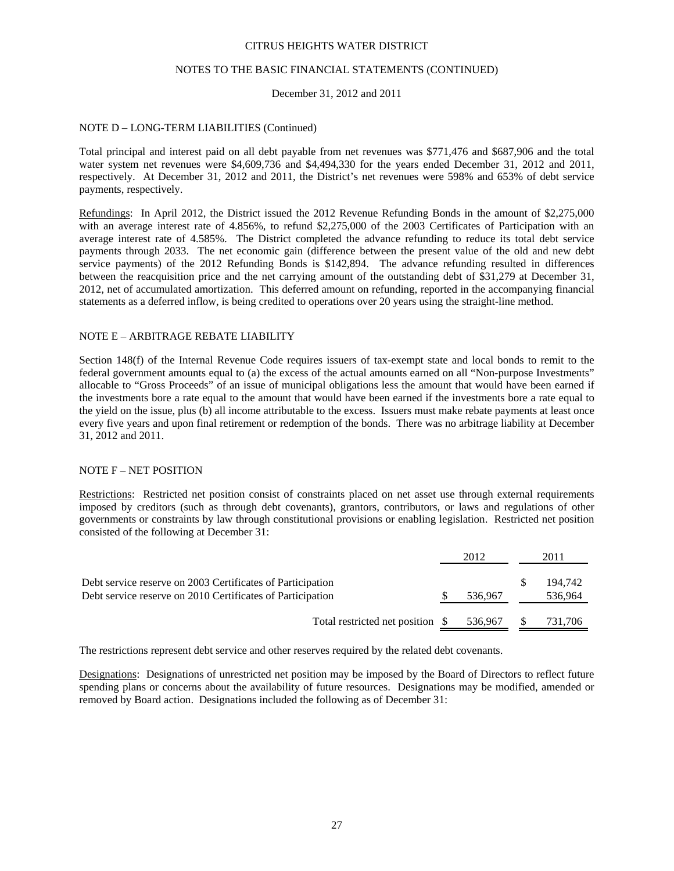#### NOTES TO THE BASIC FINANCIAL STATEMENTS (CONTINUED)

December 31, 2012 and 2011

#### NOTE D – LONG-TERM LIABILITIES (Continued)

Total principal and interest paid on all debt payable from net revenues was \$771,476 and \$687,906 and the total water system net revenues were \$4,609,736 and \$4,494,330 for the years ended December 31, 2012 and 2011, respectively. At December 31, 2012 and 2011, the District's net revenues were 598% and 653% of debt service payments, respectively.

Refundings: In April 2012, the District issued the 2012 Revenue Refunding Bonds in the amount of \$2,275,000 with an average interest rate of 4.856%, to refund \$2,275,000 of the 2003 Certificates of Participation with an average interest rate of 4.585%. The District completed the advance refunding to reduce its total debt service payments through 2033. The net economic gain (difference between the present value of the old and new debt service payments) of the 2012 Refunding Bonds is \$142,894. The advance refunding resulted in differences between the reacquisition price and the net carrying amount of the outstanding debt of \$31,279 at December 31, 2012, net of accumulated amortization. This deferred amount on refunding, reported in the accompanying financial statements as a deferred inflow, is being credited to operations over 20 years using the straight-line method.

#### NOTE E – ARBITRAGE REBATE LIABILITY

Section 148(f) of the Internal Revenue Code requires issuers of tax-exempt state and local bonds to remit to the federal government amounts equal to (a) the excess of the actual amounts earned on all "Non-purpose Investments" allocable to "Gross Proceeds" of an issue of municipal obligations less the amount that would have been earned if the investments bore a rate equal to the amount that would have been earned if the investments bore a rate equal to the yield on the issue, plus (b) all income attributable to the excess. Issuers must make rebate payments at least once every five years and upon final retirement or redemption of the bonds. There was no arbitrage liability at December 31, 2012 and 2011.

#### NOTE F – NET POSITION

Restrictions: Restricted net position consist of constraints placed on net asset use through external requirements imposed by creditors (such as through debt covenants), grantors, contributors, or laws and regulations of other governments or constraints by law through constitutional provisions or enabling legislation. Restricted net position consisted of the following at December 31:

|                                                                                                                          | 2012    | 2011               |
|--------------------------------------------------------------------------------------------------------------------------|---------|--------------------|
| Debt service reserve on 2003 Certificates of Participation<br>Debt service reserve on 2010 Certificates of Participation | 536,967 | 194.742<br>536,964 |
| Total restricted net position \$                                                                                         | 536,967 | 731,706            |

The restrictions represent debt service and other reserves required by the related debt covenants.

Designations: Designations of unrestricted net position may be imposed by the Board of Directors to reflect future spending plans or concerns about the availability of future resources. Designations may be modified, amended or removed by Board action. Designations included the following as of December 31: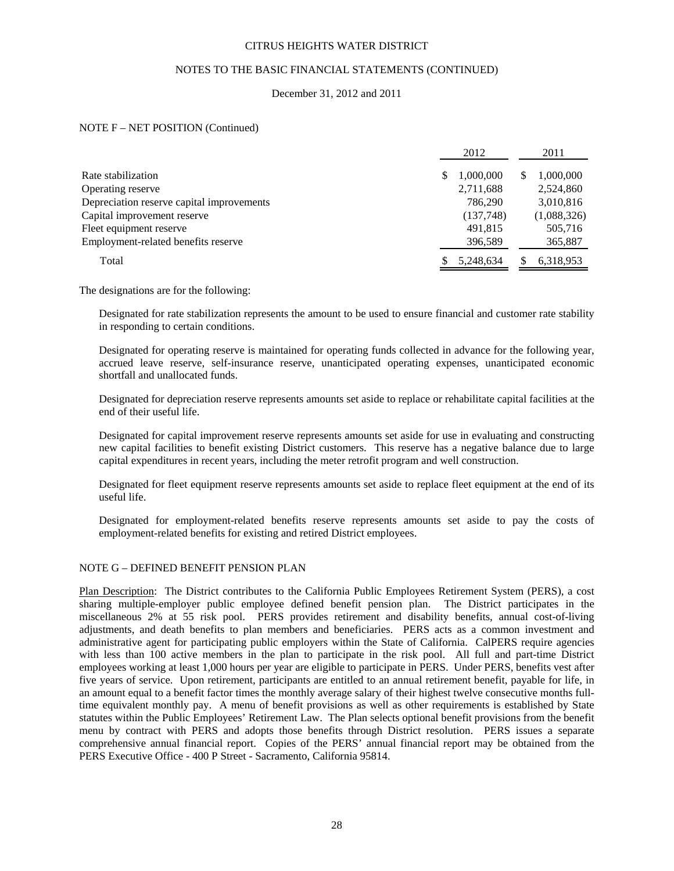#### NOTES TO THE BASIC FINANCIAL STATEMENTS (CONTINUED)

#### December 31, 2012 and 2011

#### NOTE F – NET POSITION (Continued)

|                                           | 2012      | 2011        |
|-------------------------------------------|-----------|-------------|
| Rate stabilization                        | 1,000,000 | 1,000,000   |
| Operating reserve                         | 2,711,688 | 2,524,860   |
| Depreciation reserve capital improvements | 786.290   | 3,010,816   |
| Capital improvement reserve               | (137,748) | (1,088,326) |
| Fleet equipment reserve                   | 491,815   | 505,716     |
| Employment-related benefits reserve       | 396,589   | 365,887     |
| Total                                     | 5,248,634 | 6,318,953   |

The designations are for the following:

Designated for rate stabilization represents the amount to be used to ensure financial and customer rate stability in responding to certain conditions.

Designated for operating reserve is maintained for operating funds collected in advance for the following year, accrued leave reserve, self-insurance reserve, unanticipated operating expenses, unanticipated economic shortfall and unallocated funds.

Designated for depreciation reserve represents amounts set aside to replace or rehabilitate capital facilities at the end of their useful life.

Designated for capital improvement reserve represents amounts set aside for use in evaluating and constructing new capital facilities to benefit existing District customers. This reserve has a negative balance due to large capital expenditures in recent years, including the meter retrofit program and well construction.

Designated for fleet equipment reserve represents amounts set aside to replace fleet equipment at the end of its useful life.

Designated for employment-related benefits reserve represents amounts set aside to pay the costs of employment-related benefits for existing and retired District employees.

#### NOTE G – DEFINED BENEFIT PENSION PLAN

Plan Description: The District contributes to the California Public Employees Retirement System (PERS), a cost sharing multiple-employer public employee defined benefit pension plan. The District participates in the miscellaneous 2% at 55 risk pool. PERS provides retirement and disability benefits, annual cost-of-living adjustments, and death benefits to plan members and beneficiaries. PERS acts as a common investment and administrative agent for participating public employers within the State of California. CalPERS require agencies with less than 100 active members in the plan to participate in the risk pool. All full and part-time District employees working at least 1,000 hours per year are eligible to participate in PERS. Under PERS, benefits vest after five years of service. Upon retirement, participants are entitled to an annual retirement benefit, payable for life, in an amount equal to a benefit factor times the monthly average salary of their highest twelve consecutive months fulltime equivalent monthly pay. A menu of benefit provisions as well as other requirements is established by State statutes within the Public Employees' Retirement Law. The Plan selects optional benefit provisions from the benefit menu by contract with PERS and adopts those benefits through District resolution. PERS issues a separate comprehensive annual financial report. Copies of the PERS' annual financial report may be obtained from the PERS Executive Office - 400 P Street - Sacramento, California 95814.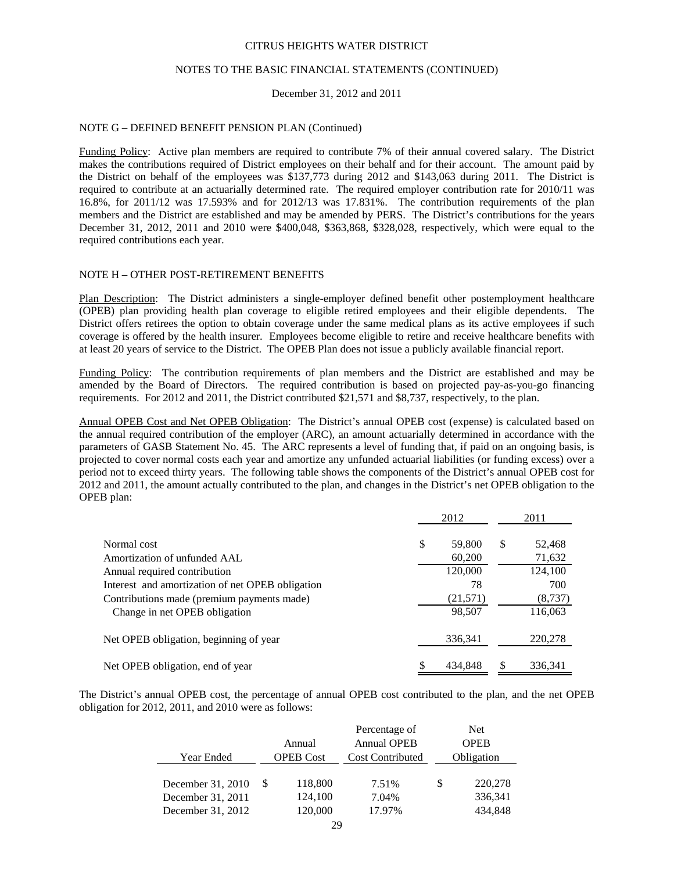#### NOTES TO THE BASIC FINANCIAL STATEMENTS (CONTINUED)

#### December 31, 2012 and 2011

#### NOTE G – DEFINED BENEFIT PENSION PLAN (Continued)

Funding Policy: Active plan members are required to contribute 7% of their annual covered salary. The District makes the contributions required of District employees on their behalf and for their account. The amount paid by the District on behalf of the employees was \$137,773 during 2012 and \$143,063 during 2011. The District is required to contribute at an actuarially determined rate. The required employer contribution rate for 2010/11 was 16.8%, for 2011/12 was 17.593% and for 2012/13 was 17.831%. The contribution requirements of the plan members and the District are established and may be amended by PERS. The District's contributions for the years December 31, 2012, 2011 and 2010 were \$400,048, \$363,868, \$328,028, respectively, which were equal to the required contributions each year.

#### NOTE H – OTHER POST-RETIREMENT BENEFITS

Plan Description:The District administers a single-employer defined benefit other postemployment healthcare (OPEB) plan providing health plan coverage to eligible retired employees and their eligible dependents. The District offers retirees the option to obtain coverage under the same medical plans as its active employees if such coverage is offered by the health insurer. Employees become eligible to retire and receive healthcare benefits with at least 20 years of service to the District. The OPEB Plan does not issue a publicly available financial report.

Funding Policy: The contribution requirements of plan members and the District are established and may be amended by the Board of Directors. The required contribution is based on projected pay-as-you-go financing requirements. For 2012 and 2011, the District contributed \$21,571 and \$8,737, respectively, to the plan.

Annual OPEB Cost and Net OPEB Obligation: The District's annual OPEB cost (expense) is calculated based on the annual required contribution of the employer (ARC), an amount actuarially determined in accordance with the parameters of GASB Statement No. 45.The ARC represents a level of funding that, if paid on an ongoing basis, is projected to cover normal costs each year and amortize any unfunded actuarial liabilities (or funding excess) over a period not to exceed thirty years. The following table shows the components of the District's annual OPEB cost for 2012 and 2011, the amount actually contributed to the plan, and changes in the District's net OPEB obligation to the OPEB plan:

|                                                  | 2012          | 2011 |          |  |
|--------------------------------------------------|---------------|------|----------|--|
| Normal cost                                      | \$<br>59,800  | S    | 52,468   |  |
| Amortization of unfunded AAL                     | 60,200        |      | 71,632   |  |
| Annual required contribution                     | 120,000       |      | 124,100  |  |
| Interest and amortization of net OPEB obligation | 78            |      | 700      |  |
| Contributions made (premium payments made)       | (21, 571)     |      | (8, 737) |  |
| Change in net OPEB obligation                    | 98.507        |      | 116,063  |  |
| Net OPEB obligation, beginning of year           | 336,341       |      | 220,278  |  |
| Net OPEB obligation, end of year                 | \$<br>434.848 | S    | 336.341  |  |

The District's annual OPEB cost, the percentage of annual OPEB cost contributed to the plan, and the net OPEB obligation for 2012, 2011, and 2010 were as follows:

|                   |                  | Percentage of           |   | Net         |
|-------------------|------------------|-------------------------|---|-------------|
|                   | Annual           | <b>Annual OPEB</b>      |   | <b>OPEB</b> |
| Year Ended        | <b>OPEB Cost</b> | <b>Cost Contributed</b> |   | Obligation  |
|                   |                  |                         |   |             |
| December 31, 2010 | 118,800          | 7.51%                   | S | 220,278     |
| December 31, 2011 | 124,100          | 7.04%                   |   | 336,341     |
| December 31, 2012 | 120,000          | 17.97%                  |   | 434,848     |
|                   |                  |                         |   |             |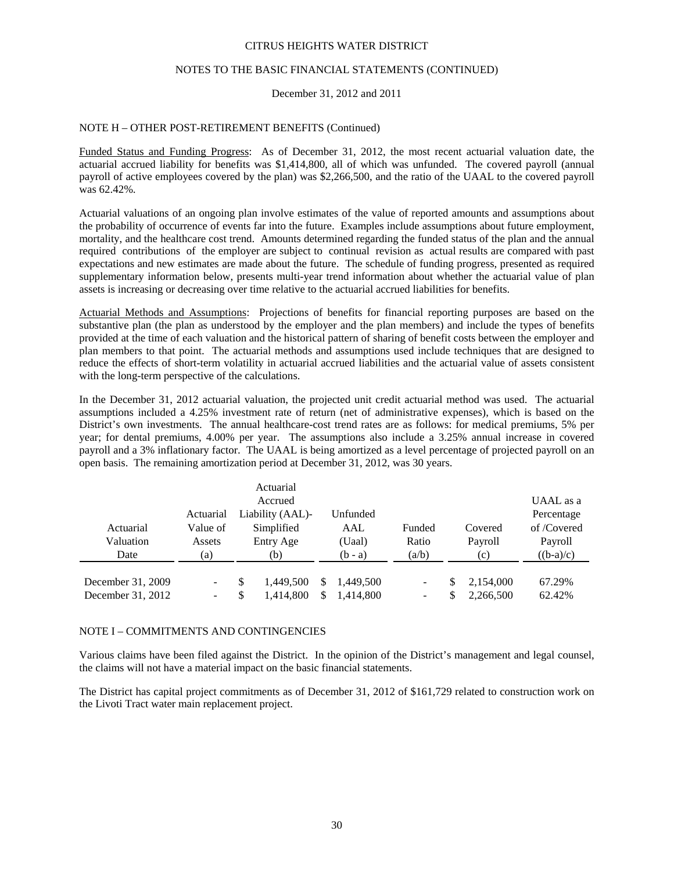#### NOTES TO THE BASIC FINANCIAL STATEMENTS (CONTINUED)

#### December 31, 2012 and 2011

#### NOTE H – OTHER POST-RETIREMENT BENEFITS (Continued)

Funded Status and Funding Progress: As of December 31, 2012, the most recent actuarial valuation date, the actuarial accrued liability for benefits was \$1,414,800, all of which was unfunded. The covered payroll (annual payroll of active employees covered by the plan) was \$2,266,500, and the ratio of the UAAL to the covered payroll was 62.42%.

Actuarial valuations of an ongoing plan involve estimates of the value of reported amounts and assumptions about the probability of occurrence of events far into the future. Examples include assumptions about future employment, mortality, and the healthcare cost trend. Amounts determined regarding the funded status of the plan and the annual required contributions of the employer are subject to continual revision as actual results are compared with past expectations and new estimates are made about the future. The schedule of funding progress, presented as required supplementary information below, presents multi-year trend information about whether the actuarial value of plan assets is increasing or decreasing over time relative to the actuarial accrued liabilities for benefits.

Actuarial Methods and Assumptions: Projections of benefits for financial reporting purposes are based on the substantive plan (the plan as understood by the employer and the plan members) and include the types of benefits provided at the time of each valuation and the historical pattern of sharing of benefit costs between the employer and plan members to that point. The actuarial methods and assumptions used include techniques that are designed to reduce the effects of short-term volatility in actuarial accrued liabilities and the actuarial value of assets consistent with the long-term perspective of the calculations.

In the December 31, 2012 actuarial valuation, the projected unit credit actuarial method was used. The actuarial assumptions included a 4.25% investment rate of return (net of administrative expenses), which is based on the District's own investments. The annual healthcare-cost trend rates are as follows: for medical premiums, 5% per year; for dental premiums, 4.00% per year. The assumptions also include a 3.25% annual increase in covered payroll and a 3% inflationary factor. The UAAL is being amortized as a level percentage of projected payroll on an open basis. The remaining amortization period at December 31, 2012, was 30 years.

|                                        |                                                          |          | Actuarial<br>Accrued                        |         |                           |                               |   |                        | UAAL as a                            |
|----------------------------------------|----------------------------------------------------------|----------|---------------------------------------------|---------|---------------------------|-------------------------------|---|------------------------|--------------------------------------|
| Actuarial<br>Valuation                 | Actuarial<br>Value of<br>Assets                          |          | Liability (AAL)-<br>Simplified<br>Entry Age |         | Unfunded<br>AAL<br>(Uaal) | Funded<br>Ratio               |   | Covered<br>Payroll     | Percentage<br>of /Covered<br>Payroll |
| Date                                   | (a)                                                      |          | (b)                                         |         | $(b - a)$                 | (a/b)                         |   | (c)                    | $((b-a)/c)$                          |
| December 31, 2009<br>December 31, 2012 | $\qquad \qquad \blacksquare$<br>$\overline{\phantom{0}}$ | \$<br>\$ | 1.449.500<br>1.414.800                      | S<br>\$ | 1.449.500<br>1.414.800    | $\overline{\phantom{0}}$<br>- | S | 2,154,000<br>2,266,500 | 67.29%<br>62.42%                     |

#### NOTE I – COMMITMENTS AND CONTINGENCIES

Various claims have been filed against the District. In the opinion of the District's management and legal counsel, the claims will not have a material impact on the basic financial statements.

The District has capital project commitments as of December 31, 2012 of \$161,729 related to construction work on the Livoti Tract water main replacement project.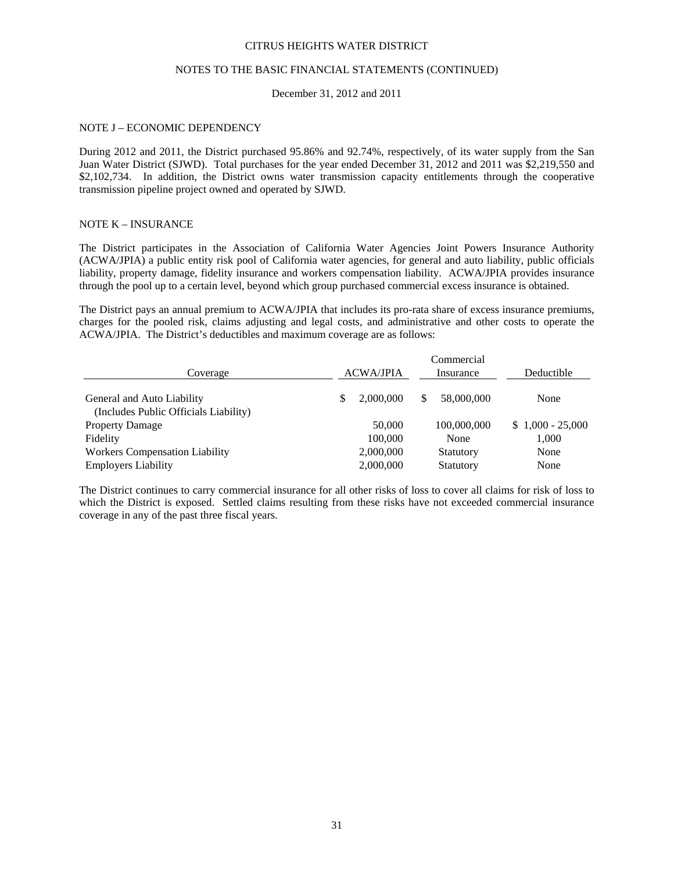#### NOTES TO THE BASIC FINANCIAL STATEMENTS (CONTINUED)

#### December 31, 2012 and 2011

#### NOTE J – ECONOMIC DEPENDENCY

During 2012 and 2011, the District purchased 95.86% and 92.74%, respectively, of its water supply from the San Juan Water District (SJWD). Total purchases for the year ended December 31, 2012 and 2011 was \$2,219,550 and \$2,102,734. In addition, the District owns water transmission capacity entitlements through the cooperative transmission pipeline project owned and operated by SJWD.

#### NOTE K – INSURANCE

The District participates in the Association of California Water Agencies Joint Powers Insurance Authority (ACWA/JPIA) a public entity risk pool of California water agencies, for general and auto liability, public officials liability, property damage, fidelity insurance and workers compensation liability. ACWA/JPIA provides insurance through the pool up to a certain level, beyond which group purchased commercial excess insurance is obtained.

The District pays an annual premium to ACWA/JPIA that includes its pro-rata share of excess insurance premiums, charges for the pooled risk, claims adjusting and legal costs, and administrative and other costs to operate the ACWA/JPIA. The District's deductibles and maximum coverage are as follows:

|                                                                     | Commercial       |                  |                   |  |  |  |  |
|---------------------------------------------------------------------|------------------|------------------|-------------------|--|--|--|--|
| Coverage                                                            | <b>ACWA/JPIA</b> | Insurance        | Deductible        |  |  |  |  |
| General and Auto Liability<br>(Includes Public Officials Liability) | S<br>2,000,000   | \$<br>58,000,000 | None              |  |  |  |  |
| <b>Property Damage</b>                                              | 50,000           | 100,000,000      | $$1,000 - 25,000$ |  |  |  |  |
| Fidelity                                                            | 100,000          | None             | 1.000             |  |  |  |  |
| <b>Workers Compensation Liability</b>                               | 2,000,000        | Statutory        | None              |  |  |  |  |
| <b>Employers Liability</b>                                          | 2,000,000        | Statutory        | None              |  |  |  |  |

The District continues to carry commercial insurance for all other risks of loss to cover all claims for risk of loss to which the District is exposed. Settled claims resulting from these risks have not exceeded commercial insurance coverage in any of the past three fiscal years.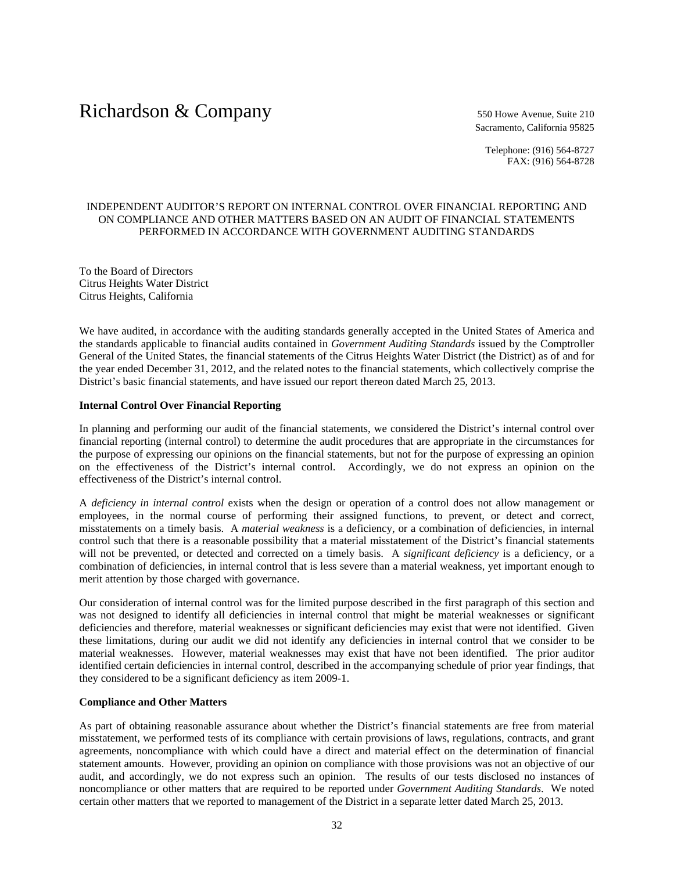# Richardson & Company 550 Howe Avenue, Suite 210

Sacramento, California 95825

Telephone: (916) 564-8727 FAX: (916) 564-8728

#### INDEPENDENT AUDITOR'S REPORT ON INTERNAL CONTROL OVER FINANCIAL REPORTING AND ON COMPLIANCE AND OTHER MATTERS BASED ON AN AUDIT OF FINANCIAL STATEMENTS PERFORMED IN ACCORDANCE WITH GOVERNMENT AUDITING STANDARDS

To the Board of Directors Citrus Heights Water District Citrus Heights, California

We have audited, in accordance with the auditing standards generally accepted in the United States of America and the standards applicable to financial audits contained in *Government Auditing Standards* issued by the Comptroller General of the United States, the financial statements of the Citrus Heights Water District (the District) as of and for the year ended December 31, 2012, and the related notes to the financial statements, which collectively comprise the District's basic financial statements, and have issued our report thereon dated March 25, 2013.

#### **Internal Control Over Financial Reporting**

In planning and performing our audit of the financial statements, we considered the District's internal control over financial reporting (internal control) to determine the audit procedures that are appropriate in the circumstances for the purpose of expressing our opinions on the financial statements, but not for the purpose of expressing an opinion on the effectiveness of the District's internal control. Accordingly, we do not express an opinion on the effectiveness of the District's internal control.

A *deficiency in internal control* exists when the design or operation of a control does not allow management or employees, in the normal course of performing their assigned functions, to prevent, or detect and correct, misstatements on a timely basis. A *material weakness* is a deficiency, or a combination of deficiencies, in internal control such that there is a reasonable possibility that a material misstatement of the District's financial statements will not be prevented, or detected and corrected on a timely basis. A *significant deficiency* is a deficiency, or a combination of deficiencies, in internal control that is less severe than a material weakness, yet important enough to merit attention by those charged with governance.

Our consideration of internal control was for the limited purpose described in the first paragraph of this section and was not designed to identify all deficiencies in internal control that might be material weaknesses or significant deficiencies and therefore, material weaknesses or significant deficiencies may exist that were not identified. Given these limitations, during our audit we did not identify any deficiencies in internal control that we consider to be material weaknesses. However, material weaknesses may exist that have not been identified. The prior auditor identified certain deficiencies in internal control, described in the accompanying schedule of prior year findings, that they considered to be a significant deficiency as item 2009-1.

#### **Compliance and Other Matters**

As part of obtaining reasonable assurance about whether the District's financial statements are free from material misstatement, we performed tests of its compliance with certain provisions of laws, regulations, contracts, and grant agreements, noncompliance with which could have a direct and material effect on the determination of financial statement amounts. However, providing an opinion on compliance with those provisions was not an objective of our audit, and accordingly, we do not express such an opinion. The results of our tests disclosed no instances of noncompliance or other matters that are required to be reported under *Government Auditing Standards*. We noted certain other matters that we reported to management of the District in a separate letter dated March 25, 2013.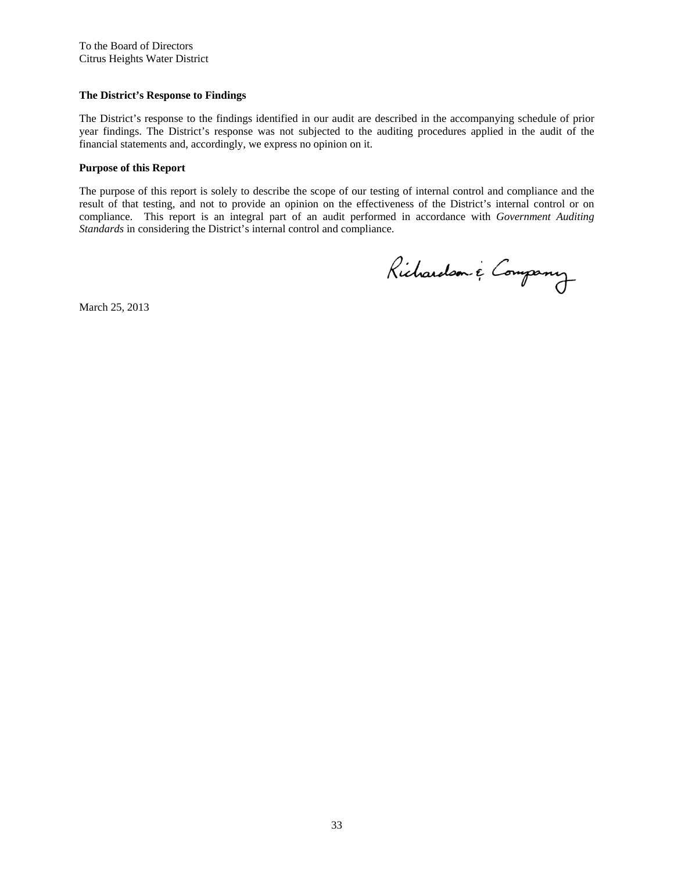To the Board of Directors Citrus Heights Water District

#### **The District's Response to Findings**

The District's response to the findings identified in our audit are described in the accompanying schedule of prior year findings. The District's response was not subjected to the auditing procedures applied in the audit of the financial statements and, accordingly, we express no opinion on it.

#### **Purpose of this Report**

The purpose of this report is solely to describe the scope of our testing of internal control and compliance and the result of that testing, and not to provide an opinion on the effectiveness of the District's internal control or on compliance. This report is an integral part of an audit performed in accordance with *Government Auditing Standards* in considering the District's internal control and compliance.

Richardson & Company

March 25, 2013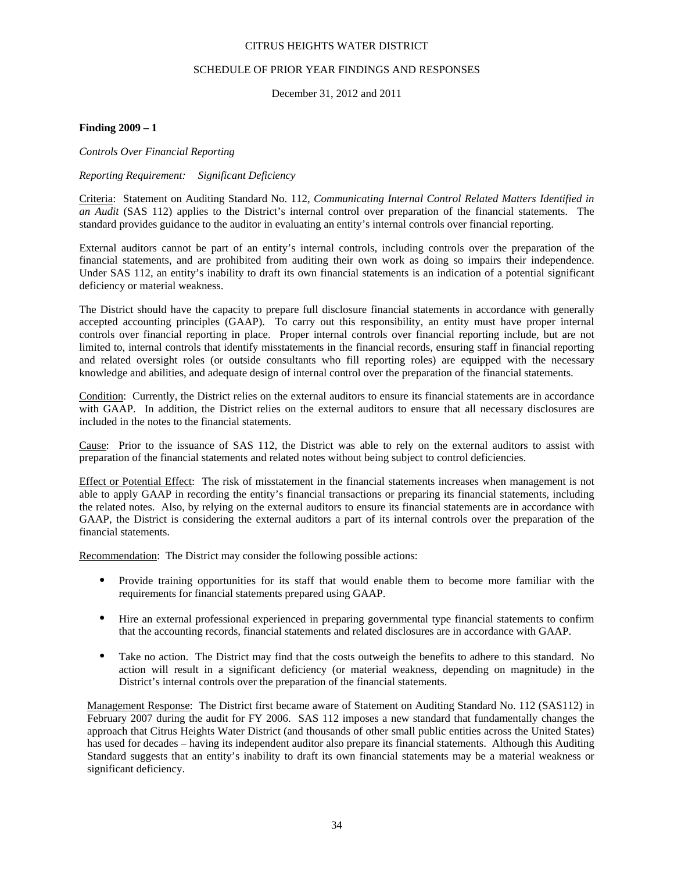#### SCHEDULE OF PRIOR YEAR FINDINGS AND RESPONSES

December 31, 2012 and 2011

#### **Finding 2009 – 1**

*Controls Over Financial Reporting* 

*Reporting Requirement: Significant Deficiency*

Criteria: Statement on Auditing Standard No. 112, *Communicating Internal Control Related Matters Identified in an Audit* (SAS 112) applies to the District's internal control over preparation of the financial statements. The standard provides guidance to the auditor in evaluating an entity's internal controls over financial reporting.

External auditors cannot be part of an entity's internal controls, including controls over the preparation of the financial statements, and are prohibited from auditing their own work as doing so impairs their independence. Under SAS 112, an entity's inability to draft its own financial statements is an indication of a potential significant deficiency or material weakness.

The District should have the capacity to prepare full disclosure financial statements in accordance with generally accepted accounting principles (GAAP). To carry out this responsibility, an entity must have proper internal controls over financial reporting in place. Proper internal controls over financial reporting include, but are not limited to, internal controls that identify misstatements in the financial records, ensuring staff in financial reporting and related oversight roles (or outside consultants who fill reporting roles) are equipped with the necessary knowledge and abilities, and adequate design of internal control over the preparation of the financial statements.

Condition: Currently, the District relies on the external auditors to ensure its financial statements are in accordance with GAAP. In addition, the District relies on the external auditors to ensure that all necessary disclosures are included in the notes to the financial statements.

Cause: Prior to the issuance of SAS 112, the District was able to rely on the external auditors to assist with preparation of the financial statements and related notes without being subject to control deficiencies.

Effect or Potential Effect: The risk of misstatement in the financial statements increases when management is not able to apply GAAP in recording the entity's financial transactions or preparing its financial statements, including the related notes. Also, by relying on the external auditors to ensure its financial statements are in accordance with GAAP, the District is considering the external auditors a part of its internal controls over the preparation of the financial statements.

Recommendation: The District may consider the following possible actions:

- Provide training opportunities for its staff that would enable them to become more familiar with the requirements for financial statements prepared using GAAP.
- Hire an external professional experienced in preparing governmental type financial statements to confirm that the accounting records, financial statements and related disclosures are in accordance with GAAP.
- Take no action. The District may find that the costs outweigh the benefits to adhere to this standard. No action will result in a significant deficiency (or material weakness, depending on magnitude) in the District's internal controls over the preparation of the financial statements.

Management Response: The District first became aware of Statement on Auditing Standard No. 112 (SAS112) in February 2007 during the audit for FY 2006. SAS 112 imposes a new standard that fundamentally changes the approach that Citrus Heights Water District (and thousands of other small public entities across the United States) has used for decades – having its independent auditor also prepare its financial statements. Although this Auditing Standard suggests that an entity's inability to draft its own financial statements may be a material weakness or significant deficiency.